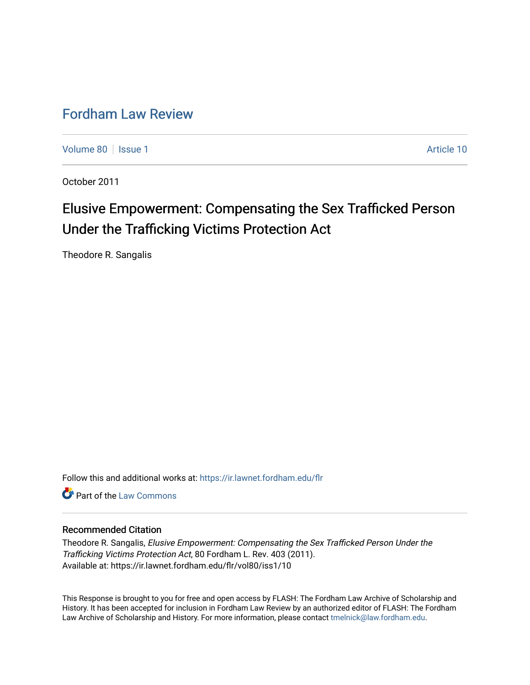# [Fordham Law Review](https://ir.lawnet.fordham.edu/flr)

[Volume 80](https://ir.lawnet.fordham.edu/flr/vol80) | [Issue 1](https://ir.lawnet.fordham.edu/flr/vol80/iss1) Article 10

October 2011

# Elusive Empowerment: Compensating the Sex Trafficked Person Under the Trafficking Victims Protection Act

Theodore R. Sangalis

Follow this and additional works at: [https://ir.lawnet.fordham.edu/flr](https://ir.lawnet.fordham.edu/flr?utm_source=ir.lawnet.fordham.edu%2Fflr%2Fvol80%2Fiss1%2F10&utm_medium=PDF&utm_campaign=PDFCoverPages)

**C** Part of the [Law Commons](http://network.bepress.com/hgg/discipline/578?utm_source=ir.lawnet.fordham.edu%2Fflr%2Fvol80%2Fiss1%2F10&utm_medium=PDF&utm_campaign=PDFCoverPages)

# Recommended Citation

Theodore R. Sangalis, Elusive Empowerment: Compensating the Sex Trafficked Person Under the Trafficking Victims Protection Act, 80 Fordham L. Rev. 403 (2011). Available at: https://ir.lawnet.fordham.edu/flr/vol80/iss1/10

This Response is brought to you for free and open access by FLASH: The Fordham Law Archive of Scholarship and History. It has been accepted for inclusion in Fordham Law Review by an authorized editor of FLASH: The Fordham Law Archive of Scholarship and History. For more information, please contact [tmelnick@law.fordham.edu](mailto:tmelnick@law.fordham.edu).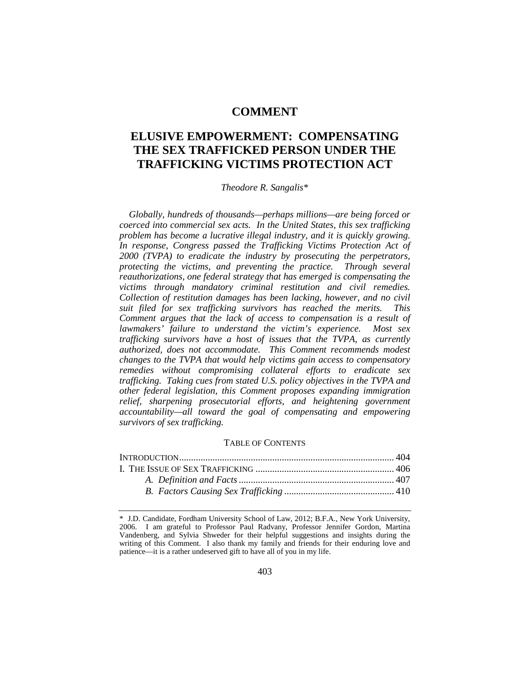# **COMMENT**

# **ELUSIVE EMPOWERMENT: COMPENSATING THE SEX TRAFFICKED PERSON UNDER THE TRAFFICKING VICTIMS PROTECTION ACT**

# *Theodore R. Sangalis*[\\*](#page-1-0)

*Globally, hundreds of thousands—perhaps millions—are being forced or coerced into commercial sex acts. In the United States, this sex trafficking problem has become a lucrative illegal industry, and it is quickly growing. In response, Congress passed the Trafficking Victims Protection Act of 2000 (TVPA) to eradicate the industry by prosecuting the perpetrators, protecting the victims, and preventing the practice. Through several reauthorizations, one federal strategy that has emerged is compensating the victims through mandatory criminal restitution and civil remedies. Collection of restitution damages has been lacking, however, and no civil suit filed for sex trafficking survivors has reached the merits. This Comment argues that the lack of access to compensation is a result of lawmakers' failure to understand the victim's experience. Most sex trafficking survivors have a host of issues that the TVPA, as currently authorized, does not accommodate. This Comment recommends modest changes to the TVPA that would help victims gain access to compensatory remedies without compromising collateral efforts to eradicate sex trafficking. Taking cues from stated U.S. policy objectives in the TVPA and other federal legislation, this Comment proposes expanding immigration relief, sharpening prosecutorial efforts, and heightening government accountability—all toward the goal of compensating and empowering survivors of sex trafficking.*

#### TABLE OF CONTENTS

<span id="page-1-0"></span><sup>\*</sup> J.D. Candidate, Fordham University School of Law, 2012; B.F.A., New York University, 2006. I am grateful to Professor Paul Radvany, Professor Jennifer Gordon, Martina Vandenberg, and Sylvia Shweder for their helpful suggestions and insights during the writing of this Comment. I also thank my family and friends for their enduring love and patience—it is a rather undeserved gift to have all of you in my life.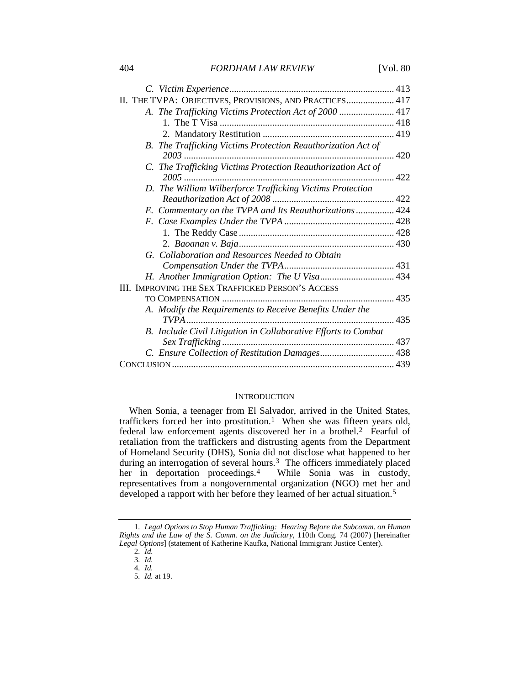| II. THE TVPA: OBJECTIVES, PROVISIONS, AND PRACTICES 417        |              |
|----------------------------------------------------------------|--------------|
| A. The Trafficking Victims Protection Act of 2000  417         |              |
|                                                                |              |
|                                                                |              |
| B. The Trafficking Victims Protection Reauthorization Act of   | $\ldots$ 420 |
| C. The Trafficking Victims Protection Reauthorization Act of   |              |
| D. The William Wilberforce Trafficking Victims Protection      |              |
|                                                                |              |
| E. Commentary on the TVPA and Its Reauthorizations 424         |              |
|                                                                |              |
|                                                                |              |
|                                                                |              |
| G. Collaboration and Resources Needed to Obtain                |              |
|                                                                |              |
|                                                                |              |
| III. IMPROVING THE SEX TRAFFICKED PERSON'S ACCESS              |              |
|                                                                |              |
| A. Modify the Requirements to Receive Benefits Under the       |              |
| B. Include Civil Litigation in Collaborative Efforts to Combat |              |
|                                                                |              |
| C. Ensure Collection of Restitution Damages 438                |              |
|                                                                |              |

# <span id="page-2-5"></span>**INTRODUCTION**

When Sonia, a teenager from El Salvador, arrived in the United States, traffickers forced her into prostitution.<sup>1</sup> When she was fifteen years old, federal law enforcement agents discovered her in a brothel.[2](#page-2-1) Fearful of retaliation from the traffickers and distrusting agents from the Department of Homeland Security (DHS), Sonia did not disclose what happened to her during an interrogation of several hours.<sup>3</sup> The officers immediately placed her in deportation proceedings.[4](#page-2-3) While Sonia was in custody, representatives from a nongovernmental organization (NGO) met her and developed a rapport with her before they learned of her actual situation.[5](#page-2-4)

<span id="page-2-4"></span><span id="page-2-3"></span><span id="page-2-2"></span><span id="page-2-1"></span><span id="page-2-0"></span><sup>1</sup>*. Legal Options to Stop Human Trafficking: Hearing Before the Subcomm. on Human Rights and the Law of the S. Comm. on the Judiciary*, 110th Cong. 74 (2007) [hereinafter *Legal Options*] (statement of Katherine Kaufka, National Immigrant Justice Center).

<sup>2</sup>*. Id.*

<sup>3</sup>*. Id.* 4*. Id.*

<sup>5</sup>*. Id.* at 19.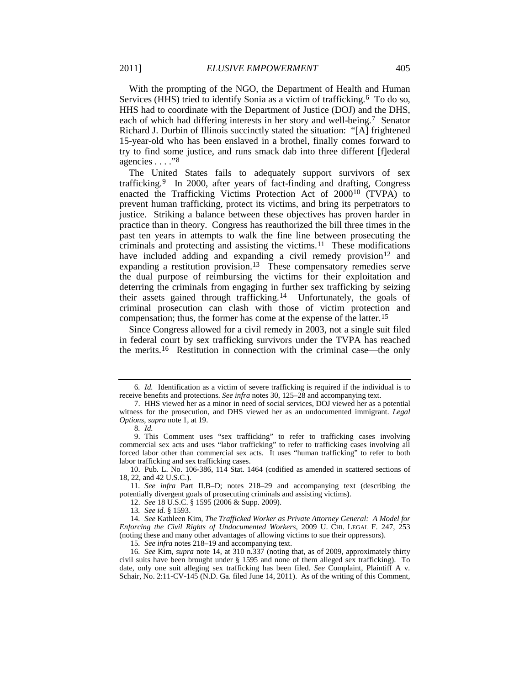<span id="page-3-14"></span>With the prompting of the NGO, the Department of Health and Human Services (HHS) tried to identify Sonia as a victim of trafficking.<sup>6</sup> To do so, HHS had to coordinate with the Department of Justice (DOJ) and the DHS, each of which had differing interests in her story and well-being.[7](#page-3-2) Senator Richard J. Durbin of Illinois succinctly stated the situation: "[A] frightened 15-year-old who has been enslaved in a brothel, finally comes forward to try to find some justice, and runs smack dab into three different [f]ederal agencies . . . ."[8](#page-3-3)

<span id="page-3-15"></span><span id="page-3-12"></span>The United States fails to adequately support survivors of sex trafficking.[9](#page-3-4) In 2000, after years of fact-finding and drafting, Congress enacted the Trafficking Victims Protection Act of 2000[10](#page-3-5) (TVPA) to prevent human trafficking, protect its victims, and bring its perpetrators to justice. Striking a balance between these objectives has proven harder in practice than in theory. Congress has reauthorized the bill three times in the past ten years in attempts to walk the fine line between prosecuting the criminals and protecting and assisting the victims.[11](#page-3-6) These modifications have included adding and expanding a civil remedy provision<sup>[12](#page-3-7)</sup> and expanding a restitution provision.<sup>[13](#page-3-8)</sup> These compensatory remedies serve the dual purpose of reimbursing the victims for their exploitation and deterring the criminals from engaging in further sex trafficking by seizing their assets gained through trafficking.[14](#page-3-9) Unfortunately, the goals of criminal prosecution can clash with those of victim protection and compensation; thus, the former has come at the expense of the latter.[15](#page-3-10)

<span id="page-3-13"></span><span id="page-3-0"></span>Since Congress allowed for a civil remedy in 2003, not a single suit filed in federal court by sex trafficking survivors under the TVPA has reached the merits.[16](#page-3-11) Restitution in connection with the criminal case—the only

12. *See* 18 U.S.C. § 1595 (2006 & Supp. 2009).

<span id="page-3-1"></span><sup>6</sup>*. Id.* Identification as a victim of severe trafficking is required if the individual is to receive benefits and protections. *See infra* notes [30,](#page-6-0) [125–](#page-14-0)28 and accompanying text.

<span id="page-3-2"></span><sup>7.</sup> HHS viewed her as a minor in need of social services, DOJ viewed her as a potential witness for the prosecution, and DHS viewed her as an undocumented immigrant. *Legal Options*, *supra* not[e 1,](#page-2-5) at 19.

<sup>8</sup>*. Id.*

<span id="page-3-4"></span><span id="page-3-3"></span><sup>9.</sup> This Comment uses "sex trafficking" to refer to trafficking cases involving commercial sex acts and uses "labor trafficking" to refer to trafficking cases involving all forced labor other than commercial sex acts. It uses "human trafficking" to refer to both labor trafficking and sex trafficking cases.

<sup>10.</sup> Pub. L. No. 106-386, 114 Stat. 1464 (codified as amended in scattered sections of 18, 22, and 42 U.S.C.).

<span id="page-3-7"></span><span id="page-3-6"></span><span id="page-3-5"></span><sup>11</sup>*. See infra* Part II.B–D; notes [218–](#page-22-0)29 and accompanying text (describing the potentially divergent goals of prosecuting criminals and assisting victims).

<sup>13</sup>*. See id.* § 1593.

<span id="page-3-9"></span><span id="page-3-8"></span><sup>14</sup>*. See* Kathleen Kim, *The Trafficked Worker as Private Attorney General: A Model for Enforcing the Civil Rights of Undocumented Workers*, 2009 U. CHI. LEGAL F. 247, 253 (noting these and many other advantages of allowing victims to sue their oppressors).

<sup>15</sup>*. See infra* notes 218–19 and accompanying text.

<span id="page-3-11"></span><span id="page-3-10"></span><sup>16</sup>*. See* Kim, *supra* note [14,](#page-3-0) at 310 n.337 (noting that, as of 2009, approximately thirty civil suits have been brought under § 1595 and none of them alleged sex trafficking). To date, only one suit alleging sex trafficking has been filed. *See* Complaint, Plaintiff A v. Schair, No. 2:11-CV-145 (N.D. Ga. filed June 14, 2011). As of the writing of this Comment,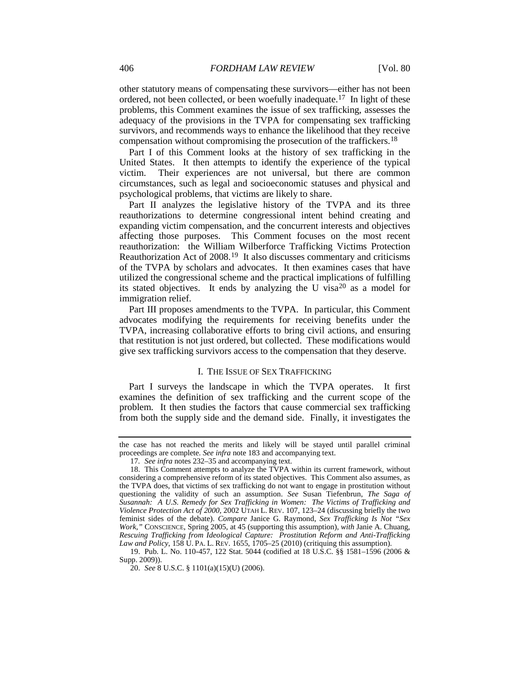other statutory means of compensating these survivors—either has not been ordered, not been collected, or been woefully inadequate.[17](#page-4-0) In light of these problems, this Comment examines the issue of sex trafficking, assesses the adequacy of the provisions in the TVPA for compensating sex trafficking survivors, and recommends ways to enhance the likelihood that they receive compensation without compromising the prosecution of the traffickers[.18](#page-4-1)

<span id="page-4-4"></span>Part I of this Comment looks at the history of sex trafficking in the United States. It then attempts to identify the experience of the typical victim. Their experiences are not universal, but there are common circumstances, such as legal and socioeconomic statuses and physical and psychological problems, that victims are likely to share.

Part II analyzes the legislative history of the TVPA and its three reauthorizations to determine congressional intent behind creating and expanding victim compensation, and the concurrent interests and objectives affecting those purposes. This Comment focuses on the most recent reauthorization: the William Wilberforce Trafficking Victims Protection Reauthorization Act of 2008.[19](#page-4-2) It also discusses commentary and criticisms of the TVPA by scholars and advocates. It then examines cases that have utilized the congressional scheme and the practical implications of fulfilling its stated objectives. It ends by analyzing the U visa<sup>[20](#page-4-3)</sup> as a model for immigration relief.

Part III proposes amendments to the TVPA. In particular, this Comment advocates modifying the requirements for receiving benefits under the TVPA, increasing collaborative efforts to bring civil actions, and ensuring that restitution is not just ordered, but collected. These modifications would give sex trafficking survivors access to the compensation that they deserve.

#### I. THE ISSUE OF SEX TRAFFICKING

Part I surveys the landscape in which the TVPA operates. It first examines the definition of sex trafficking and the current scope of the problem. It then studies the factors that cause commercial sex trafficking from both the supply side and the demand side. Finally, it investigates the

the case has not reached the merits and likely will be stayed until parallel criminal proceedings are complete. *See infra* not[e 183](#page-19-0) and accompanying text.

<sup>17</sup>*. See infra* note[s 232–](#page-24-0)35 and accompanying text.

<span id="page-4-1"></span><span id="page-4-0"></span><sup>18.</sup> This Comment attempts to analyze the TVPA within its current framework, without considering a comprehensive reform of its stated objectives. This Comment also assumes, as the TVPA does, that victims of sex trafficking do not want to engage in prostitution without questioning the validity of such an assumption. *See* Susan Tiefenbrun, *The Saga of Susannah: A U.S. Remedy for Sex Trafficking in Women: The Victims of Trafficking and Violence Protection Act of 2000*, 2002 UTAH L. REV. 107, 123–24 (discussing briefly the two feminist sides of the debate). *Compare* Janice G. Raymond, *Sex Trafficking Is Not "Sex Work*,*"* CONSCIENCE, Spring 2005, at 45 (supporting this assumption), *with* Janie A. Chuang, *Rescuing Trafficking from Ideological Capture: Prostitution Reform and Anti-Trafficking Law and Policy*, 158 U. PA. L. REV. 1655, 1705–25 (2010) (critiquing this assumption).

<span id="page-4-3"></span><span id="page-4-2"></span><sup>19.</sup> Pub. L. No. 110-457, 122 Stat. 5044 (codified at 18 U.S.C. §§ 1581–1596 (2006 & Supp. 2009)).

<sup>20.</sup> *See* 8 U.S.C. § 1101(a)(15)(U) (2006).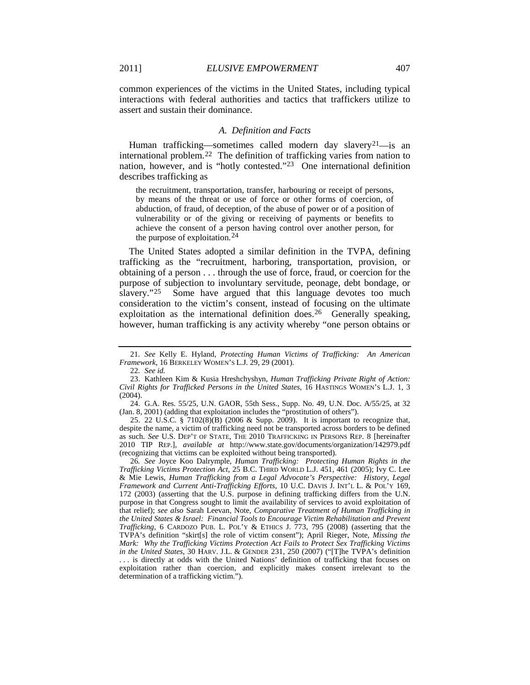common experiences of the victims in the United States, including typical interactions with federal authorities and tactics that traffickers utilize to assert and sustain their dominance.

#### <span id="page-5-8"></span><span id="page-5-7"></span>*A. Definition and Facts*

Human trafficking—sometimes called modern day slavery<sup>[21](#page-5-0)</sup>—is an international problem.[22](#page-5-1) The definition of trafficking varies from nation to nation, however, and is "hotly contested."<sup>[23](#page-5-2)</sup> One international definition describes trafficking as

the recruitment, transportation, transfer, harbouring or receipt of persons, by means of the threat or use of force or other forms of coercion, of abduction, of fraud, of deception, of the abuse of power or of a position of vulnerability or of the giving or receiving of payments or benefits to achieve the consent of a person having control over another person, for the purpose of exploitation. [24](#page-5-3)

<span id="page-5-6"></span>The United States adopted a similar definition in the TVPA, defining trafficking as the "recruitment, harboring, transportation, provision, or obtaining of a person . . . through the use of force, fraud, or coercion for the purpose of subjection to involuntary servitude, peonage, debt bondage, or slavery."<sup>[25](#page-5-4)</sup> Some have argued that this language devotes too much consideration to the victim's consent, instead of focusing on the ultimate exploitation as the international definition does.<sup>[26](#page-5-5)</sup> Generally speaking, however, human trafficking is any activity whereby "one person obtains or

<span id="page-5-4"></span>25. 22 U.S.C. § 7102(8)(B) (2006 & Supp. 2009). It is important to recognize that, despite the name, a victim of trafficking need not be transported across borders to be defined as such. *See* U.S. DEP'T OF STATE, THE 2010 TRAFFICKING IN PERSONS REP. 8 [hereinafter 2010 TIP REP.], *available at* http://www.state.gov/documents/organization/142979.pdf (recognizing that victims can be exploited without being transported).

<span id="page-5-5"></span>26*. See* Joyce Koo Dalrymple, *Human Trafficking: Protecting Human Rights in the Trafficking Victims Protection Act*, 25 B.C. THIRD WORLD L.J. 451, 461 (2005); Ivy C. Lee & Mie Lewis, *Human Trafficking from a Legal Advocate's Perspective: History, Legal Framework and Current Anti-Trafficking Efforts*, 10 U.C. DAVIS J. INT'L L. & POL'Y 169, 172 (2003) (asserting that the U.S. purpose in defining trafficking differs from the U.N. purpose in that Congress sought to limit the availability of services to avoid exploitation of that relief); *see also* Sarah Leevan, Note, *Comparative Treatment of Human Trafficking in the United States & Israel: Financial Tools to Encourage Victim Rehabilitation and Prevent Trafficking*, 6 CARDOZO PUB. L. POL'Y & ETHICS J. 773, 795 (2008) (asserting that the TVPA's definition "skirt[s] the role of victim consent"); April Rieger, Note, *Missing the Mark: Why the Trafficking Victims Protection Act Fails to Protect Sex Trafficking Victims in the United States*, 30 HARV. J.L. & GENDER 231, 250 (2007) ("[T]he TVPA's definition . . . is directly at odds with the United Nations' definition of trafficking that focuses on exploitation rather than coercion, and explicitly makes consent irrelevant to the determination of a trafficking victim.").

<span id="page-5-0"></span><sup>21</sup>*. See* Kelly E. Hyland, *Protecting Human Victims of Trafficking: An American Framework*, 16 BERKELEY WOMEN'S L.J. 29, 29 (2001).

<span id="page-5-9"></span><sup>22</sup>*. See id.*

<span id="page-5-2"></span><span id="page-5-1"></span><sup>23.</sup> Kathleen Kim & Kusia Hreshchyshyn, *Human Trafficking Private Right of Action: Civil Rights for Trafficked Persons in the United States*, 16 HASTINGS WOMEN'S L.J. 1, 3 (2004).

<span id="page-5-3"></span><sup>24.</sup> G.A. Res. 55/25, U.N. GAOR, 55th Sess., Supp. No. 49, U.N. Doc. A/55/25, at 32 (Jan. 8, 2001) (adding that exploitation includes the "prostitution of others").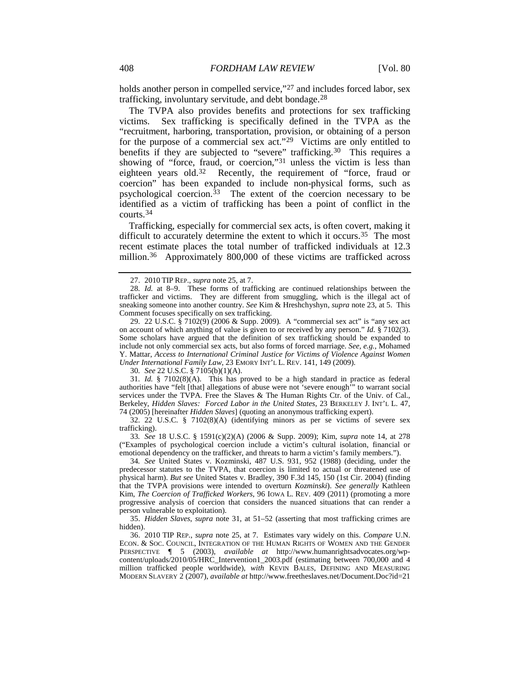holds another person in compelled service,"<sup>[27](#page-6-2)</sup> and includes forced labor, sex trafficking, involuntary servitude, and debt bondage.<sup>[28](#page-6-3)</sup>

<span id="page-6-12"></span><span id="page-6-1"></span><span id="page-6-0"></span>The TVPA also provides benefits and protections for sex trafficking victims. Sex trafficking is specifically defined in the TVPA as the "recruitment, harboring, transportation, provision, or obtaining of a person for the purpose of a commercial sex act."<sup>[29](#page-6-4)</sup> Victims are only entitled to benefits if they are subjected to "severe" trafficking.<sup>30</sup> This requires a showing of "force, fraud, or coercion,"[31](#page-6-6) unless the victim is less than eighteen years old.<sup>32</sup> Recently, the requirement of "force, fraud or coercion" has been expanded to include non-physical forms, such as psychological coercion.[33](#page-6-8) The extent of the coercion necessary to be identified as a victim of trafficking has been a point of conflict in the courts.[34](#page-6-9)

<span id="page-6-13"></span>Trafficking, especially for commercial sex acts, is often covert, making it difficult to accurately determine the extent to which it occurs.[35](#page-6-10) The most recent estimate places the total number of trafficked individuals at 12.3 million.<sup>[36](#page-6-11)</sup> Approximately 800,000 of these victims are trafficked across

30*. See* 22 U.S.C. § 7105(b)(1)(A).

<span id="page-6-6"></span><span id="page-6-5"></span>31*. Id.* § 7102(8)(A). This has proved to be a high standard in practice as federal authorities have "felt [that] allegations of abuse were not 'severe enough'" to warrant social services under the TVPA. Free the Slaves & The Human Rights Ctr. of the Univ. of Cal., Berkeley, *Hidden Slaves: Forced Labor in the United States*, 23 BERKELEY J. INT'L L. 47, 74 (2005) [hereinafter *Hidden Slaves*] (quoting an anonymous trafficking expert).

<span id="page-6-7"></span>32. 22 U.S.C. § 7102(8)(A) (identifying minors as per se victims of severe sex trafficking).

<span id="page-6-8"></span>33*. See* 18 U.S.C. § 1591(c)(2)(A) (2006 & Supp. 2009); Kim, *supra* note [14,](#page-3-0) at 278 ("Examples of psychological coercion include a victim's cultural isolation, financial or emotional dependency on the trafficker, and threats to harm a victim's family members.").

<span id="page-6-9"></span>34*. See* United States v. Kozminski, 487 U.S. 931, 952 (1988) (deciding, under the predecessor statutes to the TVPA, that coercion is limited to actual or threatened use of physical harm). *But see* United States v. Bradley, 390 F.3d 145, 150 (1st Cir. 2004) (finding that the TVPA provisions were intended to overturn *Kozminski*). *See generally* Kathleen Kim, *The Coercion of Trafficked Workers*, 96 IOWA L. REV. 409 (2011) (promoting a more progressive analysis of coercion that considers the nuanced situations that can render a person vulnerable to exploitation).

<span id="page-6-10"></span>35. *Hidden Slaves*, *supra* note [31,](#page-6-1) at 51–52 (asserting that most trafficking crimes are hidden).

<span id="page-6-11"></span>36. 2010 TIP REP., *supra* note [25,](#page-5-6) at 7. Estimates vary widely on this. *Compare* U.N. ECON. & SOC. COUNCIL, INTEGRATION OF THE HUMAN RIGHTS OF WOMEN AND THE GENDER PERSPECTIVE ¶ 5 (2003), *available at* http://www.humanrightsadvocates.org/wpcontent/uploads/2010/05/HRC\_Intervention1\_2003.pdf (estimating between 700,000 and 4 million trafficked people worldwide), *with* KEVIN BALES, DEFINING AND MEASURING MODERN SLAVERY 2 (2007), *available at* http://www.freetheslaves.net/Document.Doc?id=21

<sup>27.</sup> 2010 TIP REP., *supra* note [25,](#page-5-6) at 7.

<span id="page-6-3"></span><span id="page-6-2"></span><sup>28</sup>*. Id.* at 8–9. These forms of trafficking are continued relationships between the trafficker and victims. They are different from smuggling, which is the illegal act of sneaking someone into another country. *See* Kim & Hreshchyshyn, *supra* note [23,](#page-5-7) at 5. This Comment focuses specifically on sex trafficking.

<span id="page-6-4"></span><sup>29.</sup> 22 U.S.C. § 7102(9) (2006 & Supp. 2009). A "commercial sex act" is "any sex act on account of which anything of value is given to or received by any person." *Id.* § 7102(3). Some scholars have argued that the definition of sex trafficking should be expanded to include not only commercial sex acts, but also forms of forced marriage. *See, e.g.*, Mohamed Y. Mattar, *Access to International Criminal Justice for Victims of Violence Against Women Under International Family Law*, 23 EMORY INT'L L. REV. 141, 149 (2009).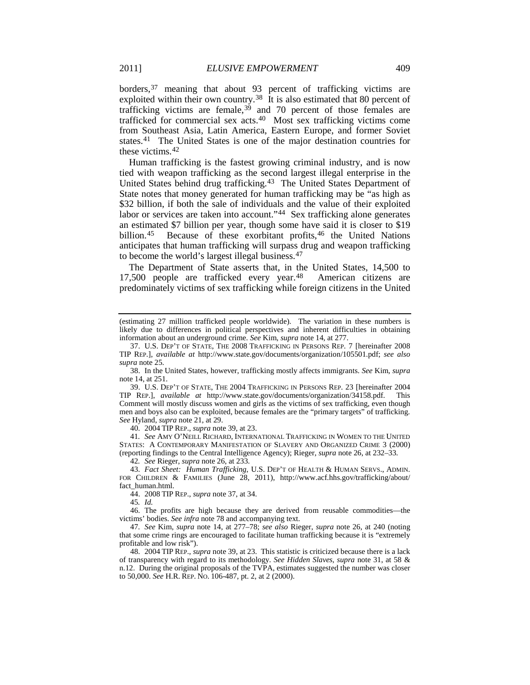<span id="page-7-1"></span><span id="page-7-0"></span>borders,[37](#page-7-2) meaning that about 93 percent of trafficking victims are exploited within their own country.<sup>[38](#page-7-3)</sup> It is also estimated that 80 percent of trafficking victims are female,[39](#page-7-4) and 70 percent of those females are trafficked for commercial sex acts.[40](#page-7-5) Most sex trafficking victims come from Southeast Asia, Latin America, Eastern Europe, and former Soviet states.[41](#page-7-6) The United States is one of the major destination countries for these victims.[42](#page-7-7)

Human trafficking is the fastest growing criminal industry, and is now tied with weapon trafficking as the second largest illegal enterprise in the United States behind drug trafficking.[43](#page-7-8) The United States Department of State notes that money generated for human trafficking may be "as high as \$32 billion, if both the sale of individuals and the value of their exploited labor or services are taken into account.["44](#page-7-9) Sex trafficking alone generates an estimated \$7 billion per year, though some have said it is closer to \$19 billion.<sup>[45](#page-7-10)</sup> Because of these exorbitant profits,<sup>[46](#page-7-11)</sup> the United Nations anticipates that human trafficking will surpass drug and weapon trafficking to become the world's largest illegal business.[47](#page-7-12)

The Department of State asserts that, in the United States, 14,500 to 17,500 people are trafficked every year.[48](#page-7-13) American citizens are predominately victims of sex trafficking while foreign citizens in the United

<span id="page-7-4"></span>39. U.S. DEP'T OF STATE, THE 2004 TRAFFICKING IN PERSONS REP. 23 [hereinafter 2004 TIP REP.], *available at* http://www.state.gov/documents/organization/34158.pdf. This Comment will mostly discuss women and girls as the victims of sex trafficking, even though men and boys also can be exploited, because females are the "primary targets" of trafficking. *See* Hyland, *supra* not[e 21,](#page-5-8) at 29.

40. 2004 TIP REP., *supra* not[e 39,](#page-7-0) at 23.

<span id="page-7-6"></span><span id="page-7-5"></span>41*. See* AMY O'NEILL RICHARD, INTERNATIONAL TRAFFICKING IN WOMEN TO THE UNITED STATES: A CONTEMPORARY MANIFESTATION OF SLAVERY AND ORGANIZED CRIME 3 (2000) (reporting findings to the Central Intelligence Agency); Rieger, *supra* not[e 26,](#page-5-9) at 232–33.

42*. See* Rieger, *supra* not[e 26,](#page-5-9) at 233.

<span id="page-7-8"></span><span id="page-7-7"></span>43. *Fact Sheet: Human Trafficking*, U.S. DEP'T OF HEALTH & HUMAN SERVS., ADMIN. FOR CHILDREN & FAMILIES (June 28, 2011), http://www.acf.hhs.gov/trafficking/about/ fact\_human.html.

44. 2008 TIP REP., *supra* not[e 37,](#page-7-1) at 34.

45*. Id.*

<span id="page-7-11"></span><span id="page-7-10"></span><span id="page-7-9"></span>46. The profits are high because they are derived from reusable commodities—the victims' bodies. *See infra* note [78](#page-10-0) and accompanying text.

<span id="page-7-12"></span>47*. See* Kim, *supra* note [14,](#page-3-0) at 277–78; *see also* Rieger, *supra* note [26,](#page-5-9) at 240 (noting that some crime rings are encouraged to facilitate human trafficking because it is "extremely profitable and low risk").

<span id="page-7-13"></span>48. 2004 TIP REP., *supra* not[e 39,](#page-7-0) at 23. This statistic is criticized because there is a lack of transparency with regard to its methodology. *See Hidden Slaves*, *supra* note [31,](#page-6-1) at 58 & n.12. During the original proposals of the TVPA, estimates suggested the number was closer to 50,000. *See* H.R. REP. NO. 106-487, pt. 2, at 2 (2000).

<sup>(</sup>estimating 27 million trafficked people worldwide). The variation in these numbers is likely due to differences in political perspectives and inherent difficulties in obtaining information about an underground crime. *See* Kim, *supra* note [14,](#page-3-0) at 277.

<span id="page-7-2"></span><sup>37.</sup> U.S. DEP'T OF STATE, THE 2008 TRAFFICKING IN PERSONS REP. 7 [hereinafter 2008 TIP REP.], *available at* http://www.state.gov/documents/organization/105501.pdf; *see also supra* not[e 25.](#page-5-6)

<span id="page-7-3"></span><sup>38.</sup> In the United States, however, trafficking mostly affects immigrants. *See* Kim, *supra* not[e 14,](#page-3-0) at 251.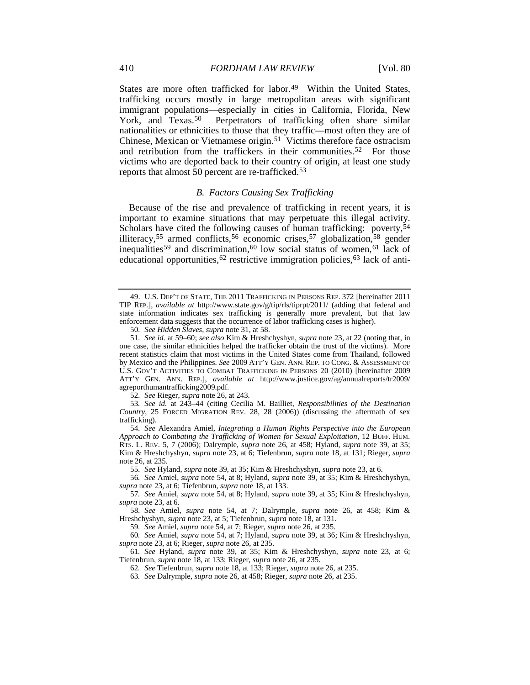States are more often trafficked for labor.<sup>49</sup> Within the United States, trafficking occurs mostly in large metropolitan areas with significant immigrant populations—especially in cities in California, Florida, New<br>York, and Texas.<sup>50</sup> Perpetrators of trafficking often share similar Perpetrators of trafficking often share similar nationalities or ethnicities to those that they traffic—most often they are of Chinese, Mexican or Vietnamese origin.[51](#page-8-3) Victims therefore face ostracism and retribution from the traffickers in their communities.<sup>[52](#page-8-4)</sup> For those victims who are deported back to their country of origin, at least one study reports that almost 50 percent are re-trafficked.[53](#page-8-5)

#### <span id="page-8-17"></span><span id="page-8-16"></span><span id="page-8-0"></span>*B. Factors Causing Sex Trafficking*

Because of the rise and prevalence of trafficking in recent years, it is important to examine situations that may perpetuate this illegal activity. Scholars have cited the following causes of human trafficking: poverty,<sup>[54](#page-8-6)</sup> illiteracy,<sup>[55](#page-8-7)</sup> armed conflicts,<sup>[56](#page-8-8)</sup> economic crises,<sup>[57](#page-8-9)</sup> globalization,<sup>[58](#page-8-10)</sup> gender inequalities<sup>[59](#page-8-11)</sup> and discrimination,<sup>[60](#page-8-12)</sup> low social status of women,<sup>[61](#page-8-13)</sup> lack of educational opportunities,<sup>[62](#page-8-14)</sup> restrictive immigration policies,<sup>[63](#page-8-15)</sup> lack of anti-

55*. See* Hyland, *supra* not[e 39,](#page-7-0) at 35; Kim & Hreshchyshyn, *supra* not[e 23,](#page-5-7) at 6.

59*. See* Amiel, *supra* not[e 54,](#page-8-0) at 7; Rieger, *supra* not[e 26,](#page-5-9) at 235.

<span id="page-8-1"></span><sup>49.</sup> U.S. DEP'T OF STATE, THE 2011 TRAFFICKING IN PERSONS REP. 372 [hereinafter 2011 TIP REP.], *available at* http://www.state.gov/g/tip/rls/tiprpt/2011/ (adding that federal and state information indicates sex trafficking is generally more prevalent, but that law enforcement data suggests that the occurrence of labor trafficking cases is higher).

<sup>50</sup>*. See Hidden Slaves*, *supra* note [31,](#page-6-1) at 58.

<span id="page-8-3"></span><span id="page-8-2"></span><sup>51</sup>*. See id.* at 59–60; *see also* Kim & Hreshchyshyn, *supra* not[e 23,](#page-5-7) at 22 (noting that, in one case, the similar ethnicities helped the trafficker obtain the trust of the victims). More recent statistics claim that most victims in the United States come from Thailand, followed by Mexico and the Philippines. *See* 2009 ATT'Y GEN. ANN. REP. TO CONG. & ASSESSMENT OF U.S. GOV'T ACTIVITIES TO COMBAT TRAFFICKING IN PERSONS 20 (2010) [hereinafter 2009 ATT'Y GEN. ANN. REP.], *available at* http://www.justice.gov/ag/annualreports/tr2009/ agreporthumantrafficking2009.pdf.

<sup>52</sup>*. See* Rieger, *supra* not[e 26,](#page-5-9) at 243.

<span id="page-8-5"></span><span id="page-8-4"></span><sup>53</sup>*. See id.* at 243–44 (citing Cecilia M. Bailliet, *Responsibilities of the Destination Country*, 25 FORCED MIGRATION REV. 28, 28 (2006)) (discussing the aftermath of sex trafficking).

<span id="page-8-6"></span><sup>54</sup>*. See* Alexandra Amiel, *Integrating a Human Rights Perspective into the European Approach to Combating the Trafficking of Women for Sexual Exploitation*, 12 BUFF. HUM. RTS. L. REV. 5, 7 (2006); Dalrymple, *supra* note [26,](#page-5-9) at 458; Hyland, *supra* note [39,](#page-7-0) at 35; Kim & Hreshchyshyn, *supra* note [23,](#page-5-7) at 6; Tiefenbrun, *supra* note [18,](#page-4-4) at 131; Rieger, *supra* not[e 26,](#page-5-9) at 235.

<span id="page-8-8"></span><span id="page-8-7"></span><sup>56</sup>*. See* Amiel, *supra* not[e 54,](#page-8-0) at 8; Hyland, *supra* note [39,](#page-7-0) at 35; Kim & Hreshchyshyn, *supra* not[e 23,](#page-5-7) at 6; Tiefenbrun, *supra* note [18,](#page-4-4) at 133.

<span id="page-8-9"></span><sup>57</sup>*. See* Amiel, *supra* not[e 54,](#page-8-0) at 8; Hyland, *supra* note [39,](#page-7-0) at 35; Kim & Hreshchyshyn, *supra* not[e 23,](#page-5-7) at 6.

<span id="page-8-10"></span><sup>58</sup>*. See* Amiel, *supra* note [54,](#page-8-0) at 7; Dalrymple, *supra* note [26,](#page-5-9) at 458; Kim & Hreshchyshyn, *supra* not[e 23,](#page-5-7) at 5; Tiefenbrun, *supra* note [18,](#page-4-4) at 131.

<span id="page-8-12"></span><span id="page-8-11"></span><sup>60</sup>*. See* Amiel, *supra* not[e 54,](#page-8-0) at 7; Hyland, *supra* note [39,](#page-7-0) at 36; Kim & Hreshchyshyn, *supra* not[e 23,](#page-5-7) at 6; Rieger, *supra* note [26,](#page-5-9) at 235.

<span id="page-8-15"></span><span id="page-8-14"></span><span id="page-8-13"></span><sup>61</sup>*. See* Hyland, *supra* note [39,](#page-7-0) at 35; Kim & Hreshchyshyn, *supra* note [23,](#page-5-7) at 6; Tiefenbrun, *supra* note [18,](#page-4-4) at 133; Rieger, *supra* not[e 26,](#page-5-9) at 235.

<sup>62</sup>*. See* Tiefenbrun, *supra* not[e 18,](#page-4-4) at 133; Rieger, *supra* not[e 26,](#page-5-9) at 235.

<sup>63</sup>*. See* Dalrymple, *supra* not[e 26,](#page-5-9) at 458; Rieger, *supra* not[e 26,](#page-5-9) at 235.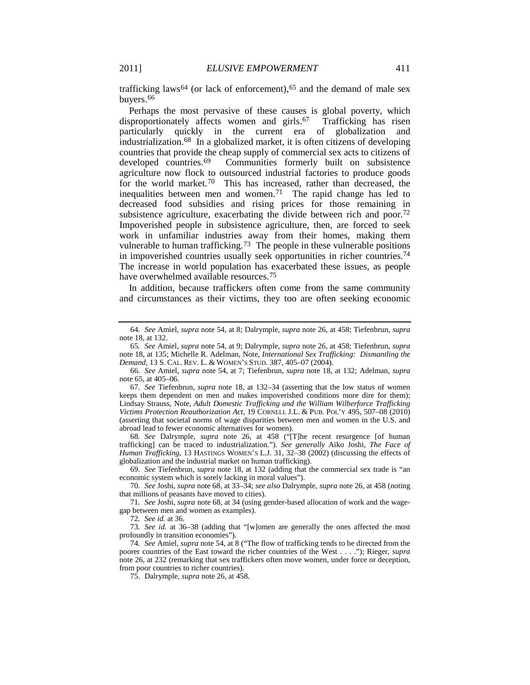<span id="page-9-0"></span>trafficking laws<sup>[64](#page-9-2)</sup> (or lack of enforcement),<sup>[65](#page-9-3)</sup> and the demand of male sex buyers.[66](#page-9-4)

<span id="page-9-1"></span>Perhaps the most pervasive of these causes is global poverty, which disproportionately affects women and girls.<sup>67</sup> Trafficking has risen particularly quickly in the current era of globalization and industrialization.[68](#page-9-6) In a globalized market, it is often citizens of developing countries that provide the cheap supply of commercial sex acts to citizens of developed countries.[69](#page-9-7) Communities formerly built on subsistence agriculture now flock to outsourced industrial factories to produce goods for the world market.<sup>[70](#page-9-8)</sup> This has increased, rather than decreased, the inequalities between men and women.<sup>71</sup> The rapid change has led to decreased food subsidies and rising prices for those remaining in subsistence agriculture, exacerbating the divide between rich and poor.<sup>[72](#page-9-10)</sup> Impoverished people in subsistence agriculture, then, are forced to seek work in unfamiliar industries away from their homes, making them vulnerable to human trafficking.<sup>73</sup> The people in these vulnerable positions in impoverished countries usually seek opportunities in richer countries.[74](#page-9-12) The increase in world population has exacerbated these issues, as people have overwhelmed available resources.<sup>75</sup>

In addition, because traffickers often come from the same community and circumstances as their victims, they too are often seeking economic

<span id="page-9-6"></span>68*. See* Dalrymple, *supra* note [26,](#page-5-9) at 458 ("[T]he recent resurgence [of human trafficking] can be traced to industrialization."). *See generally* Aiko Joshi, *The Face of Human Trafficking*, 13 HASTINGS WOMEN'S L.J. 31, 32–38 (2002) (discussing the effects of globalization and the industrial market on human trafficking).

<span id="page-9-7"></span>69*. See* Tiefenbrun, *supra* note [18,](#page-4-4) at 132 (adding that the commercial sex trade is "an economic system which is sorely lacking in moral values").

<span id="page-9-8"></span>70*. See* Joshi, *supra* not[e 68,](#page-9-1) at 33–34; *see also* Dalrymple, *supra* note [26,](#page-5-9) at 458 (noting that millions of peasants have moved to cities).

<span id="page-9-9"></span>71*. See* Joshi, *supra* not[e 68,](#page-9-1) at 34 (using gender-based allocation of work and the wagegap between men and women as examples).

72*. See id.* at 36.

<span id="page-9-11"></span><span id="page-9-10"></span>73*. See id.* at 36–38 (adding that "[w]omen are generally the ones affected the most profoundly in transition economies").

<span id="page-9-13"></span><span id="page-9-12"></span>74*. See* Amiel, *supra* note [54,](#page-8-0) at 8 ("The flow of trafficking tends to be directed from the poorer countries of the East toward the richer countries of the West . . . ."); Rieger, *supra* note [26,](#page-5-9) at 232 (remarking that sex traffickers often move women, under force or deception, from poor countries to richer countries).

75. Dalrymple, *supra* not[e 26,](#page-5-9) at 458.

<span id="page-9-2"></span><sup>64</sup>*. See* Amiel, *supra* not[e 54,](#page-8-0) at 8; Dalrymple, *supra* note [26,](#page-5-9) at 458; Tiefenbrun, *supra* not[e 18,](#page-4-4) at 132.

<span id="page-9-3"></span><sup>65</sup>*. See* Amiel, *supra* not[e 54,](#page-8-0) at 9; Dalrymple, *supra* note [26,](#page-5-9) at 458; Tiefenbrun, *supra* note [18,](#page-4-4) at 135; Michelle R. Adelman, Note, *International Sex Trafficking: Dismantling the Demand*, 13 S. CAL. REV. L. & WOMEN'S STUD. 387, 405–07 (2004).

<span id="page-9-4"></span><sup>66</sup>*. See* Amiel, *supra* note [54,](#page-8-0) at 7; Tiefenbrun, *supra* note [18,](#page-4-4) at 132; Adelman, *supra* not[e 65,](#page-9-0) at 405–06.

<span id="page-9-5"></span><sup>67</sup>*. See* Tiefenbrun, *supra* note [18,](#page-4-4) at 132–34 (asserting that the low status of women keeps them dependent on men and makes impoverished conditions more dire for them); Lindsay Strauss, Note, *Adult Domestic Trafficking and the William Wilberforce Trafficking Victims Protection Reauthorization Act*, 19 CORNELL J.L. & PUB. POL'Y 495, 507–08 (2010) (asserting that societal norms of wage disparities between men and women in the U.S. and abroad lead to fewer economic alternatives for women).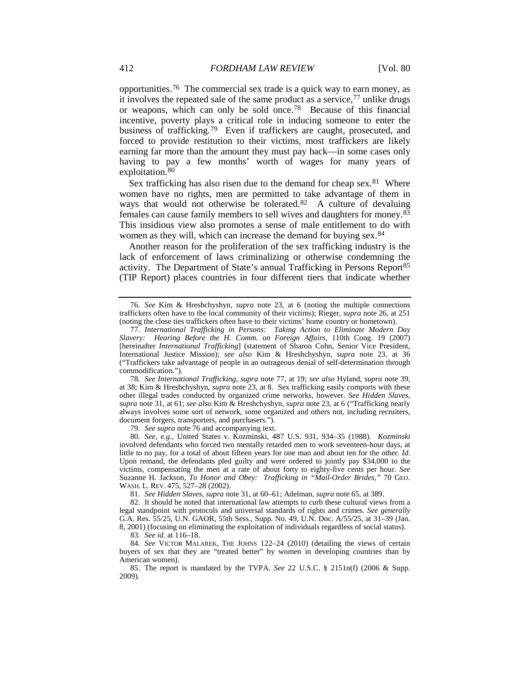<span id="page-10-2"></span><span id="page-10-1"></span><span id="page-10-0"></span>opportunities.[76](#page-10-3) The commercial sex trade is a quick way to earn money, as it involves the repeated sale of the same product as a service,[77](#page-10-4) unlike drugs or weapons, which can only be sold once.[78](#page-10-5) Because of this financial incentive, poverty plays a critical role in inducing someone to enter the business of trafficking.[79](#page-10-6) Even if traffickers are caught, prosecuted, and forced to provide restitution to their victims, most traffickers are likely earning far more than the amount they must pay back—in some cases only having to pay a few months' worth of wages for many years of exploitation.[80](#page-10-7)

Sex trafficking has also risen due to the demand for cheap sex.<sup>[81](#page-10-8)</sup> Where women have no rights, men are permitted to take advantage of them in ways that would not otherwise be tolerated.<sup>[82](#page-10-9)</sup> A culture of devaluing females can cause family members to sell wives and daughters for money.[83](#page-10-10) This insidious view also promotes a sense of male entitlement to do with women as they will, which can increase the demand for buying sex.<sup>84</sup>

Another reason for the proliferation of the sex trafficking industry is the lack of enforcement of laws criminalizing or otherwise condemning the activity. The Department of State's annual Trafficking in Persons Report<sup>[85](#page-10-12)</sup> (TIP Report) places countries in four different tiers that indicate whether

<span id="page-10-5"></span>78*. See International Trafficking*, *supra* note [77,](#page-10-1) at 19; *see also* Hyland, *supra* not[e 39,](#page-7-0) at 38; Kim & Hreshchyshyn, *supra* not[e 23,](#page-5-7) at 8. Sex trafficking easily comports with these other illegal trades conducted by organized crime networks, however. *See Hidden Slaves*, *supra* note [31,](#page-6-1) at 61; *see also* Kim & Hreshchyshyn, *supra* not[e 23,](#page-5-7) at 6 ("Trafficking nearly always involves some sort of network, some organized and others not, including recruiters, document forgers, transporters, and purchasers.").

79*. See supra* not[e 76](#page-10-2) and accompanying text.

<span id="page-10-7"></span><span id="page-10-6"></span>80*. See, e.g.*, United States v. Kozminski, 487 U.S. 931, 934–35 (1988). *Kozminski* involved defendants who forced two mentally retarded men to work seventeen-hour days, at little to no pay, for a total of about fifteen years for one man and about ten for the other. *Id.* Upon remand, the defendants pled guilty and were ordered to jointly pay \$34,000 to the victims, compensating the men at a rate of about forty to eighty-five cents per hour. *See* Suzanne H. Jackson, *To Honor and Obey: Trafficking in "Mail-Order Brides*,*"* 70 GEO. WASH. L. REV. 475, 527–28 (2002).

81*. See Hidden Slaves*, *supra* note [31,](#page-6-1) at 60–61; Adelman, *supra* note [65,](#page-9-0) at 389.

<span id="page-10-9"></span><span id="page-10-8"></span>82. It should be noted that international law attempts to curb these cultural views from a legal standpoint with protocols and universal standards of rights and crimes. *See generally* G.A. Res. 55/25, U.N. GAOR, 55th Sess., Supp. No. 49, U.N. Doc. A/55/25, at 31–39 (Jan. 8, 2001) (focusing on eliminating the exploitation of individuals regardless of social status).

83*. See id.* at 116–18.

<span id="page-10-11"></span><span id="page-10-10"></span>84*. See* VICTOR MALAREK, THE JOHNS 122–24 (2010) (detailing the views of certain buyers of sex that they are "treated better" by women in developing countries than by American women).

<span id="page-10-12"></span>85. The report is mandated by the TVPA. *See* 22 U.S.C. § 2151n(f) (2006 & Supp. 2009).

<span id="page-10-3"></span><sup>76</sup>*. See* Kim & Hreshchyshyn, *supra* note [23,](#page-5-7) at 6 (noting the multiple connections traffickers often have to the local community of their victims); Rieger, *supra* not[e 26,](#page-5-9) at 251 (noting the close ties traffickers often have to their victims' home country or hometown).

<span id="page-10-4"></span><sup>77</sup>*. International Trafficking in Persons: Taking Action to Eliminate Modern Day Slavery: Hearing Before the H. Comm. on Foreign Affairs*, 110th Cong. 19 (2007) [hereinafter *International Trafficking*] (statement of Sharon Cohn, Senior Vice President, International Justice Mission); *see also* Kim & Hreshchyshyn, *supra* note [23,](#page-5-7) at 36 ("Traffickers take advantage of people in an outrageous denial of self-determination through commodification.").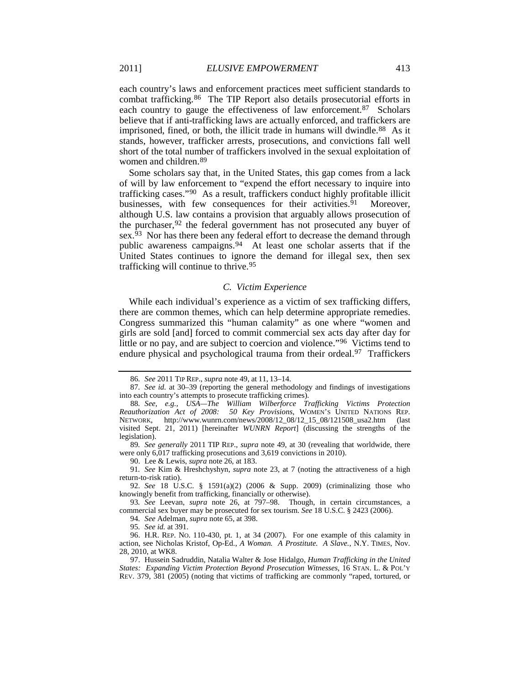<span id="page-11-13"></span>each country's laws and enforcement practices meet sufficient standards to combat trafficking.[86](#page-11-0) The TIP Report also details prosecutorial efforts in each country to gauge the effectiveness of law enforcement.[87](#page-11-1) Scholars believe that if anti-trafficking laws are actually enforced, and traffickers are imprisoned, fined, or both, the illicit trade in humans will dwindle.<sup>88</sup> As it stands, however, trafficker arrests, prosecutions, and convictions fall well short of the total number of traffickers involved in the sexual exploitation of women and children.<sup>[89](#page-11-3)</sup>

Some scholars say that, in the United States, this gap comes from a lack of will by law enforcement to "expend the effort necessary to inquire into trafficking cases." [90](#page-11-4) As a result, traffickers conduct highly profitable illicit businesses, with few consequences for their activities.<sup>[91](#page-11-5)</sup> Moreover, although U.S. law contains a provision that arguably allows prosecution of the purchaser,  $92$  the federal government has not prosecuted any buyer of sex.<sup>[93](#page-11-7)</sup> Nor has there been any federal effort to decrease the demand through public awareness campaigns.[94](#page-11-8) At least one scholar asserts that if the United States continues to ignore the demand for illegal sex, then sex trafficking will continue to thrive.[95](#page-11-9)

# <span id="page-11-14"></span><span id="page-11-12"></span>*C. Victim Experience*

While each individual's experience as a victim of sex trafficking differs, there are common themes, which can help determine appropriate remedies. Congress summarized this "human calamity" as one where "women and girls are sold [and] forced to commit commercial sex acts day after day for little or no pay, and are subject to coercion and violence."[96](#page-11-10) Victims tend to endure physical and psychological trauma from their ordeal.<sup>[97](#page-11-11)</sup> Traffickers

94*. See* Adelman, *supra* note [65,](#page-9-0) at 398.

<sup>86</sup>*. See* 2011 TIP REP., *supra* note [49,](#page-8-16) at 11, 13–14.

<span id="page-11-1"></span><span id="page-11-0"></span><sup>87</sup>*. See id.* at 30–39 (reporting the general methodology and findings of investigations into each country's attempts to prosecute trafficking crimes).

<span id="page-11-2"></span><sup>88</sup>*. See, e.g.*, *USA—The William Wilberforce Trafficking Victims Protection Reauthorization Act of 2008: 50 Key Provisions*, WOMEN'S UNITED NATIONS REP. NETWORK, http://www.wunrn.com/news/2008/12\_08/12\_15\_08/121508\_usa2.htm (last visited Sept. 21, 2011) [hereinafter *WUNRN Report*] (discussing the strengths of the legislation).

<span id="page-11-3"></span><sup>89</sup>*. See generally* 2011 TIP REP., *supra* note [49,](#page-8-16) at 30 (revealing that worldwide, there were only 6,017 trafficking prosecutions and 3,619 convictions in 2010).

<sup>90.</sup> Lee & Lewis, *supra* note [26,](#page-5-9) at 183.

<span id="page-11-5"></span><span id="page-11-4"></span><sup>91</sup>*. See* Kim & Hreshchyshyn, *supra* note [23,](#page-5-7) at 7 (noting the attractiveness of a high return-to-risk ratio).

<span id="page-11-6"></span><sup>92.</sup> *See* 18 U.S.C. § 1591(a)(2) (2006 & Supp. 2009) (criminalizing those who knowingly benefit from trafficking, financially or otherwise).

<span id="page-11-8"></span><span id="page-11-7"></span><sup>93</sup>*. See* Leevan, *supra* note [26,](#page-5-9) at 797–98. Though, in certain circumstances, a commercial sex buyer may be prosecuted for sex tourism. *See* 18 U.S.C. § 2423 (2006).

<sup>95</sup>*. See id.* at 391.

<span id="page-11-10"></span><span id="page-11-9"></span><sup>96.</sup> H.R. REP. NO. 110-430, pt. 1, at 34 (2007). For one example of this calamity in action, see Nicholas Kristof, Op-Ed., *A Woman. A Prostitute. A Slave.*, N.Y. TIMES, Nov. 28, 2010, at WK8.

<span id="page-11-11"></span><sup>97.</sup> Hussein Sadruddin, Natalia Walter & Jose Hidalgo, *Human Trafficking in the United States: Expanding Victim Protection Beyond Prosecution Witnesses*, 16 STAN. L. & POL'Y REV. 379, 381 (2005) (noting that victims of trafficking are commonly "raped, tortured, or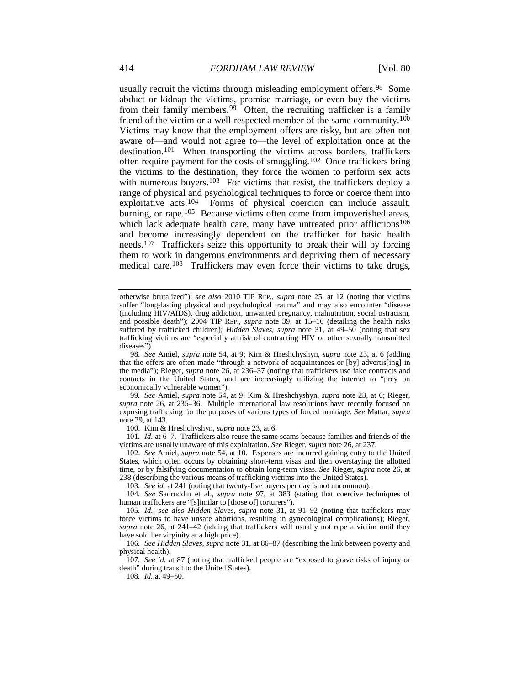usually recruit the victims through misleading employment offers.<sup>[98](#page-12-0)</sup> Some abduct or kidnap the victims, promise marriage, or even buy the victims from their family members.<sup>[99](#page-12-1)</sup> Often, the recruiting trafficker is a family friend of the victim or a well-respected member of the same community.[100](#page-12-2) Victims may know that the employment offers are risky, but are often not aware of—and would not agree to—the level of exploitation once at the destination.<sup>101</sup> When transporting the victims across borders, traffickers often require payment for the costs of smuggling.[102](#page-12-4) Once traffickers bring the victims to the destination, they force the women to perform sex acts with numerous buyers.<sup>103</sup> For victims that resist, the traffickers deploy a range of physical and psychological techniques to force or coerce them into exploitative acts.[104](#page-12-6) Forms of physical coercion can include assault, burning, or rape.<sup>[105](#page-12-7)</sup> Because victims often come from impoverished areas, which lack adequate health care, many have untreated prior afflictions<sup>[106](#page-12-8)</sup> and become increasingly dependent on the trafficker for basic health needs.[107](#page-12-9) Traffickers seize this opportunity to break their will by forcing them to work in dangerous environments and depriving them of necessary medical care.<sup>[108](#page-12-10)</sup> Traffickers may even force their victims to take drugs,

<span id="page-12-1"></span>99*. See* Amiel, *supra* note [54,](#page-8-0) at 9; Kim & Hreshchyshyn, *supra* note [23,](#page-5-7) at 6; Rieger, *supra* note [26,](#page-5-9) at 235–36. Multiple international law resolutions have recently focused on exposing trafficking for the purposes of various types of forced marriage. *See* Mattar, *supra* not[e 29,](#page-6-12) at 143.

100. Kim & Hreshchyshyn, *supra* note [23,](#page-5-7) at 6.

<span id="page-12-3"></span><span id="page-12-2"></span>101*. Id.* at 6–7. Traffickers also reuse the same scams because families and friends of the victims are usually unaware of this exploitation. *See* Rieger, *supra* not[e 26,](#page-5-9) at 237.

<span id="page-12-4"></span>102. *See* Amiel, *supra* note [54,](#page-8-0) at 10. Expenses are incurred gaining entry to the United States, which often occurs by obtaining short-term visas and then overstaying the allotted time, or by falsifying documentation to obtain long-term visas. *See* Rieger, *supra* not[e 26,](#page-5-9) at 238 (describing the various means of trafficking victims into the United States).

103*. See id.* at 241 (noting that twenty-five buyers per day is not uncommon).

<span id="page-12-6"></span><span id="page-12-5"></span>104*. See* Sadruddin et al., *supra* note [97,](#page-11-12) at 383 (stating that coercive techniques of human traffickers are "[s]imilar to [those of] torturers").

<span id="page-12-7"></span>105*. Id.*; *see also Hidden Slaves*, *supra* note [31,](#page-6-1) at 91–92 (noting that traffickers may force victims to have unsafe abortions, resulting in gynecological complications); Rieger, *supra* note [26,](#page-5-9) at 241–42 (adding that traffickers will usually not rape a victim until they have sold her virginity at a high price).

<span id="page-12-8"></span>106*. See Hidden Slaves*, *supra* note [31,](#page-6-1) at 86–87 (describing the link between poverty and physical health).

<span id="page-12-10"></span><span id="page-12-9"></span>107*. See id.* at 87 (noting that trafficked people are "exposed to grave risks of injury or death" during transit to the United States).

108*. Id.* at 49–50.

otherwise brutalized"); *see also* 2010 TIP REP., *supra* note [25,](#page-5-6) at 12 (noting that victims suffer "long-lasting physical and psychological trauma" and may also encounter "disease (including HIV/AIDS), drug addiction, unwanted pregnancy, malnutrition, social ostracism, and possible death"); 2004 TIP REP., *supra* note [39,](#page-7-0) at 15–16 (detailing the health risks suffered by trafficked children); *Hidden Slaves*, *supra* note [31,](#page-6-1) at 49–50 (noting that sex trafficking victims are "especially at risk of contracting HIV or other sexually transmitted diseases").

<span id="page-12-0"></span><sup>98</sup>*. See* Amiel, *supra* note [54,](#page-8-0) at 9; Kim & Hreshchyshyn, *supra* note [23,](#page-5-7) at 6 (adding that the offers are often made "through a network of acquaintances or [by] advertis[ing] in the media"); Rieger, *supra* note [26,](#page-5-9) at 236–37 (noting that traffickers use fake contracts and contacts in the United States, and are increasingly utilizing the internet to "prey on economically vulnerable women").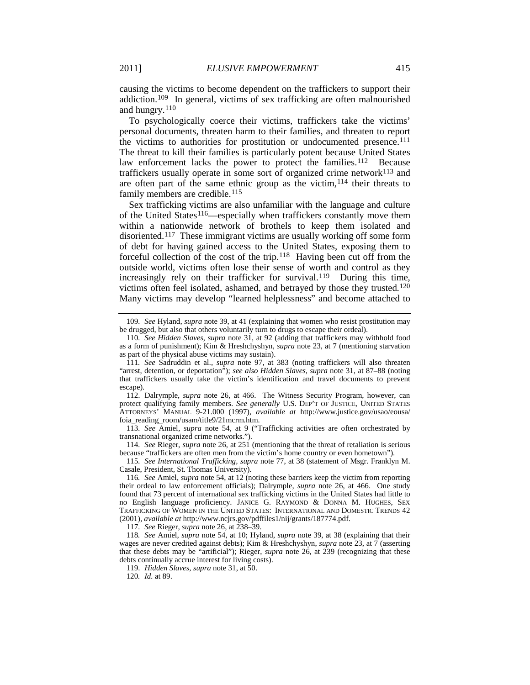causing the victims to become dependent on the traffickers to support their addiction.[109](#page-13-0) In general, victims of sex trafficking are often malnourished and hungry.[110](#page-13-1)

<span id="page-13-13"></span>To psychologically coerce their victims, traffickers take the victims' personal documents, threaten harm to their families, and threaten to report the victims to authorities for prostitution or undocumented presence.<sup>[111](#page-13-2)</sup> The threat to kill their families is particularly potent because United States law enforcement lacks the power to protect the families.<sup>[112](#page-13-3)</sup> Because traffickers usually operate in some sort of organized crime network $113$  and are often part of the same ethnic group as the victim,  $114$  their threats to family members are credible.<sup>115</sup>

<span id="page-13-12"></span>Sex trafficking victims are also unfamiliar with the language and culture of the United States<sup>[116](#page-13-7)</sup>—especially when traffickers constantly move them within a nationwide network of brothels to keep them isolated and disoriented.[117](#page-13-8) These immigrant victims are usually working off some form of debt for having gained access to the United States, exposing them to forceful collection of the cost of the trip.[118](#page-13-9) Having been cut off from the outside world, victims often lose their sense of worth and control as they increasingly rely on their trafficker for survival.<sup>119</sup> During this time, victims often feel isolated, ashamed, and betrayed by those they trusted.<sup>[120](#page-13-11)</sup> Many victims may develop "learned helplessness" and become attached to

<span id="page-13-3"></span>112. Dalrymple, *supra* note [26,](#page-5-9) at 466. The Witness Security Program, however, can protect qualifying family members. *See generally* U.S. DEP'T OF JUSTICE, UNITED STATES ATTORNEYS' MANUAL 9-21.000 (1997), *available at* http://www.justice.gov/usao/eousa/ foia reading room/usam/title9/21mcrm.htm.

<span id="page-13-4"></span>113*. See* Amiel, *supra* note [54,](#page-8-0) at 9 ("Trafficking activities are often orchestrated by transnational organized crime networks.").

<span id="page-13-5"></span>114*. See* Rieger, *supra* note [26,](#page-5-9) at 251 (mentioning that the threat of retaliation is serious because "traffickers are often men from the victim's home country or even hometown").

<span id="page-13-6"></span>115*. See International Trafficking, supra* note [77,](#page-10-1) at 38 (statement of Msgr. Franklyn M. Casale, President, St. Thomas University).

<span id="page-13-7"></span>116*. See* Amiel, *supra* note [54,](#page-8-0) at 12 (noting these barriers keep the victim from reporting their ordeal to law enforcement officials); Dalrymple, *supra* note [26,](#page-5-9) at 466. One study found that 73 percent of international sex trafficking victims in the United States had little to no English language proficiency. JANICE G. RAYMOND & DONNA M. HUGHES, SEX TRAFFICKING OF WOMEN IN THE UNITED STATES: INTERNATIONAL AND DOMESTIC TRENDS 42 (2001), *available at* http://www.ncjrs.gov/pdffiles1/nij/grants/187774.pdf.

117*. See* Rieger, *supra* not[e 26,](#page-5-9) at 238–39.

<span id="page-13-11"></span><span id="page-13-10"></span><span id="page-13-9"></span><span id="page-13-8"></span>118*. See* Amiel, *supra* note [54,](#page-8-0) at 10; Hyland, *supra* note [39,](#page-7-0) at 38 (explaining that their wages are never credited against debts); Kim & Hreshchyshyn, *supra* not[e 23,](#page-5-7) at 7 (asserting that these debts may be "artificial"); Rieger, *supra* note [26,](#page-5-9) at 239 (recognizing that these debts continually accrue interest for living costs).

119. *Hidden Slaves*, *supra* not[e 31,](#page-6-1) at 50.

120*. Id.* at 89.

<span id="page-13-0"></span><sup>109</sup>*. See* Hyland, *supra* note [39,](#page-7-0) at 41 (explaining that women who resist prostitution may be drugged, but also that others voluntarily turn to drugs to escape their ordeal).

<span id="page-13-1"></span><sup>110</sup>*. See Hidden Slaves*, *supra* note 31, at 92 (adding that traffickers may withhold food as a form of punishment); Kim & Hreshchyshyn, *supra* note [23,](#page-5-7) at 7 (mentioning starvation as part of the physical abuse victims may sustain).

<span id="page-13-2"></span><sup>111</sup>*. See* Sadruddin et al., *supra* note [97,](#page-11-12) at 383 (noting traffickers will also threaten "arrest, detention, or deportation"); *see also Hidden Slaves*, *supra* note [31,](#page-6-1) at 87–88 (noting that traffickers usually take the victim's identification and travel documents to prevent escape).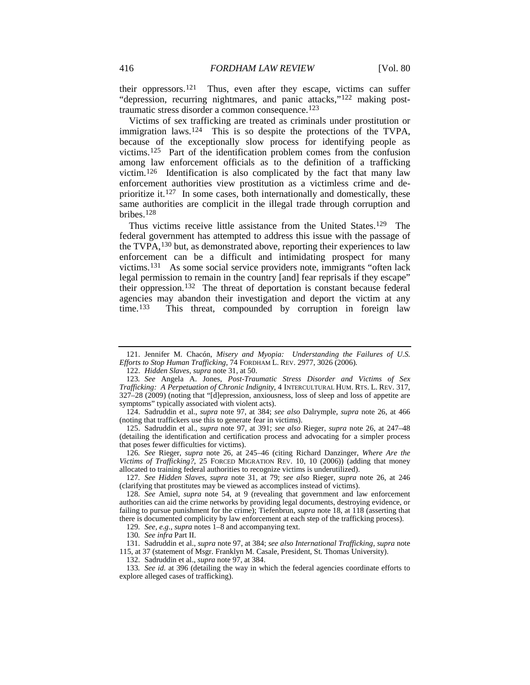<span id="page-14-15"></span>their oppressors.[121](#page-14-1) Thus, even after they escape, victims can suffer "depression, recurring nightmares, and panic attacks,"[122](#page-14-2) making posttraumatic stress disorder a common consequence.[123](#page-14-3)

<span id="page-14-0"></span>Victims of sex trafficking are treated as criminals under prostitution or immigration laws.<sup>124</sup> This is so despite the protections of the TVPA, because of the exceptionally slow process for identifying people as victims.[125](#page-14-5) Part of the identification problem comes from the confusion among law enforcement officials as to the definition of a trafficking victim.[126](#page-14-6) Identification is also complicated by the fact that many law enforcement authorities view prostitution as a victimless crime and deprioritize it.[127](#page-14-7) In some cases, both internationally and domestically, these same authorities are complicit in the illegal trade through corruption and bribes.[128](#page-14-8)

<span id="page-14-14"></span>Thus victims receive little assistance from the United States.<sup>129</sup> The federal government has attempted to address this issue with the passage of the TVPA,<sup>[130](#page-14-10)</sup> but, as demonstrated above, reporting their experiences to law enforcement can be a difficult and intimidating prospect for many victims.[131](#page-14-11) As some social service providers note, immigrants "often lack legal permission to remain in the country [and] fear reprisals if they escape" their oppression.[132](#page-14-12) The threat of deportation is constant because federal agencies may abandon their investigation and deport the victim at any time.<sup>[133](#page-14-13)</sup> This threat, compounded by corruption in foreign law

<span id="page-14-7"></span>127*. See Hidden Slaves*, *supra* note [31,](#page-6-1) at 79; *see also* Rieger, *supra* note [26,](#page-5-9) at 246 (clarifying that prostitutes may be viewed as accomplices instead of victims).

<span id="page-14-1"></span><sup>121.</sup> Jennifer M. Chacón, *Misery and Myopia: Understanding the Failures of U.S. Efforts to Stop Human Trafficking*, 74 FORDHAM L. REV. 2977, 3026 (2006).

<sup>122.</sup> *Hidden Slaves*, *supra* not[e 31,](#page-6-1) at 50.

<span id="page-14-3"></span><span id="page-14-2"></span><sup>123</sup>*. See* Angela A. Jones, *Post-Traumatic Stress Disorder and Victims of Sex Trafficking: A Perpetuation of Chronic Indignity*, 4 INTERCULTURAL HUM. RTS. L. REV. 317, 327–28 (2009) (noting that "[d]epression, anxiousness, loss of sleep and loss of appetite are symptoms" typically associated with violent acts).

<span id="page-14-4"></span><sup>124.</sup> Sadruddin et al., *supra* note [97,](#page-11-12) at 384; *see also* Dalrymple, *supra* note [26,](#page-5-9) at 466 (noting that traffickers use this to generate fear in victims).

<span id="page-14-5"></span><sup>125.</sup> Sadruddin et al., *supra* note [97,](#page-11-12) at 391; *see also* Rieger, *supra* note [26,](#page-5-9) at 247–48 (detailing the identification and certification process and advocating for a simpler process that poses fewer difficulties for victims).

<span id="page-14-6"></span><sup>126</sup>*. See* Rieger, *supra* note [26,](#page-5-9) at 245–46 (citing Richard Danzinger, *Where Are the Victims of Trafficking?*, 25 FORCED MIGRATION REV. 10, 10 (2006)) (adding that money allocated to training federal authorities to recognize victims is underutilized).

<span id="page-14-8"></span><sup>128</sup>*. See* Amiel, *supra* note [54,](#page-8-0) at 9 (revealing that government and law enforcement authorities can aid the crime networks by providing legal documents, destroying evidence, or failing to pursue punishment for the crime); Tiefenbrun, *supra* not[e 18,](#page-4-4) at 118 (asserting that there is documented complicity by law enforcement at each step of the trafficking process).

<sup>129</sup>*. See, e.g.*, *supra* note[s 1](#page-2-5)[–8](#page-3-12) and accompanying text.

<sup>130</sup>*. See infra* Part II.

<span id="page-14-11"></span><span id="page-14-10"></span><span id="page-14-9"></span><sup>131.</sup> Sadruddin et al., *supra* not[e 97,](#page-11-12) at 384; *see also International Trafficking*, *supra* note [115,](#page-13-12) at 37 (statement of Msgr. Franklyn M. Casale, President, St. Thomas University).

<sup>132.</sup> Sadruddin et al., *supra* not[e 97,](#page-11-12) at 384.

<span id="page-14-13"></span><span id="page-14-12"></span><sup>133</sup>*. See id.* at 396 (detailing the way in which the federal agencies coordinate efforts to explore alleged cases of trafficking).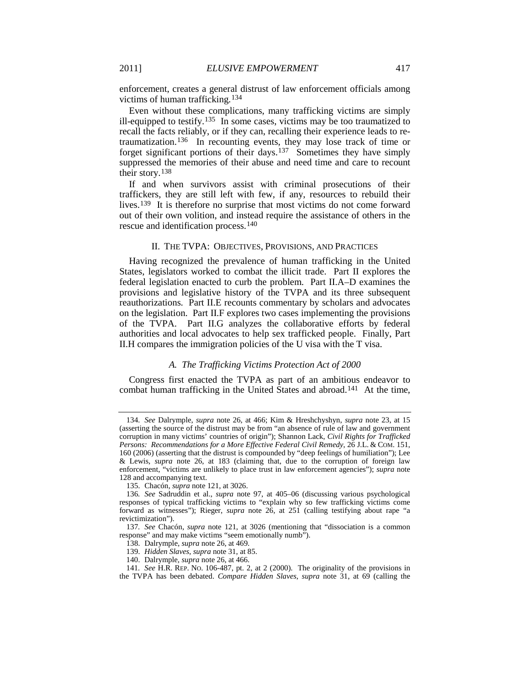<span id="page-15-8"></span>enforcement, creates a general distrust of law enforcement officials among victims of human trafficking.[134](#page-15-0)

Even without these complications, many trafficking victims are simply ill-equipped to testify.<sup>135</sup> In some cases, victims may be too traumatized to recall the facts reliably, or if they can, recalling their experience leads to retraumatization.[136](#page-15-2) In recounting events, they may lose track of time or forget significant portions of their days[.137](#page-15-3) Sometimes they have simply suppressed the memories of their abuse and need time and care to recount their story.[138](#page-15-4)

If and when survivors assist with criminal prosecutions of their traffickers, they are still left with few, if any, resources to rebuild their lives.<sup>[139](#page-15-5)</sup> It is therefore no surprise that most victims do not come forward out of their own volition, and instead require the assistance of others in the rescue and identification process.[140](#page-15-6)

#### II. THE TVPA: OBJECTIVES, PROVISIONS, AND PRACTICES

Having recognized the prevalence of human trafficking in the United States, legislators worked to combat the illicit trade. Part II explores the federal legislation enacted to curb the problem. Part II.A–D examines the provisions and legislative history of the TVPA and its three subsequent reauthorizations. Part II.E recounts commentary by scholars and advocates on the legislation. Part II.F explores two cases implementing the provisions of the TVPA. Part II.G analyzes the collaborative efforts by federal authorities and local advocates to help sex trafficked people. Finally, Part II.H compares the immigration policies of the U visa with the T visa.

# *A. The Trafficking Victims Protection Act of 2000*

Congress first enacted the TVPA as part of an ambitious endeavor to combat human trafficking in the United States and abroad.<sup>[141](#page-15-7)</sup> At the time,

<span id="page-15-0"></span><sup>134</sup>*. See* Dalrymple, *supra* note [26,](#page-5-9) at 466; Kim & Hreshchyshyn, *supra* note [23,](#page-5-7) at 15 (asserting the source of the distrust may be from "an absence of rule of law and government corruption in many victims' countries of origin"); Shannon Lack, *Civil Rights for Trafficked Persons: Recommendations for a More Effective Federal Civil Remedy*, 26 J.L. & COM. 151, 160 (2006) (asserting that the distrust is compounded by "deep feelings of humiliation"); Lee & Lewis, *supra* note [26,](#page-5-9) at 183 (claiming that, due to the corruption of foreign law enforcement, "victims are unlikely to place trust in law enforcement agencies"); *supra* note [128](#page-14-14) and accompanying text.

<sup>135.</sup> Chacón, *supra* not[e 121,](#page-14-15) at 3026.

<span id="page-15-2"></span><span id="page-15-1"></span><sup>136</sup>*. See* Sadruddin et al., *supra* note [97,](#page-11-12) at 405–06 (discussing various psychological responses of typical trafficking victims to "explain why so few trafficking victims come forward as witnesses"); Rieger, *supra* note [26,](#page-5-9) at 251 (calling testifying about rape "a revictimization").

<span id="page-15-4"></span><span id="page-15-3"></span><sup>137</sup>*. See* Chacón, *supra* note [121,](#page-14-15) at 3026 (mentioning that "dissociation is a common response" and may make victims "seem emotionally numb").

<sup>138.</sup> Dalrymple, *supra* not[e 26,](#page-5-9) at 469.

<sup>139.</sup> *Hidden Slaves*, *supra* not[e 31,](#page-6-1) at 85.

<sup>140.</sup> Dalrymple, *supra* not[e 26,](#page-5-9) at 466.

<span id="page-15-7"></span><span id="page-15-6"></span><span id="page-15-5"></span><sup>141</sup>*. See* H.R. REP. NO. 106-487, pt. 2, at 2 (2000). The originality of the provisions in the TVPA has been debated. *Compare Hidden Slaves*, *supra* note [31,](#page-6-1) at 69 (calling the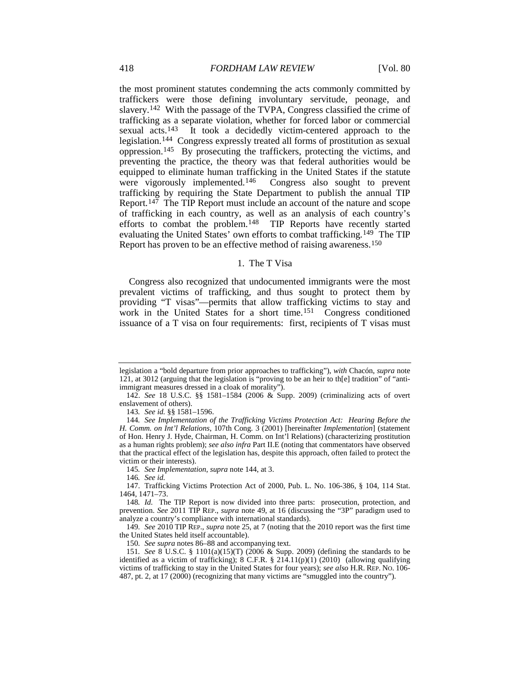<span id="page-16-0"></span>the most prominent statutes condemning the acts commonly committed by traffickers were those defining involuntary servitude, peonage, and slavery.[142](#page-16-1) With the passage of the TVPA, Congress classified the crime of trafficking as a separate violation, whether for forced labor or commercial sexual acts[.143](#page-16-2) It took a decidedly victim-centered approach to the legislation.[144](#page-16-3) Congress expressly treated all forms of prostitution as sexual oppression.[145](#page-16-4) By prosecuting the traffickers, protecting the victims, and preventing the practice, the theory was that federal authorities would be equipped to eliminate human trafficking in the United States if the statute were vigorously implemented.<sup>146</sup> Congress also sought to prevent trafficking by requiring the State Department to publish the annual TIP Report.[147](#page-16-6) The TIP Report must include an account of the nature and scope of trafficking in each country, as well as an analysis of each country's efforts to combat the problem.[148](#page-16-7) TIP Reports have recently started evaluating the United States' own efforts to combat trafficking.<sup>149</sup> The TIP Report has proven to be an effective method of raising awareness.[150](#page-16-9)

#### <span id="page-16-11"></span>1. The T Visa

Congress also recognized that undocumented immigrants were the most prevalent victims of trafficking, and thus sought to protect them by providing "T visas"—permits that allow trafficking victims to stay and work in the United States for a short time.<sup>[151](#page-16-10)</sup> Congress conditioned issuance of a T visa on four requirements: first, recipients of T visas must

143*. See id.* §§ 1581–1596.

145*. See Implementation*, *supra* not[e 144,](#page-16-0) at 3.

146*. See id.*

150*. See supra* note[s 86](#page-11-13)[–88](#page-11-14) and accompanying text.

legislation a "bold departure from prior approaches to trafficking"), *with* Chacón, *supra* note [121,](#page-14-15) at 3012 (arguing that the legislation is "proving to be an heir to th[e] tradition" of "antiimmigrant measures dressed in a cloak of morality").

<span id="page-16-1"></span><sup>142.</sup> *See* 18 U.S.C. §§ 1581–1584 (2006 & Supp. 2009) (criminalizing acts of overt enslavement of others).

<span id="page-16-3"></span><span id="page-16-2"></span><sup>144</sup>*. See Implementation of the Trafficking Victims Protection Act: Hearing Before the H. Comm. on Int'l Relations*, 107th Cong. 3 (2001) [hereinafter *Implementation*] (statement of Hon. Henry J. Hyde, Chairman, H. Comm. on Int'l Relations) (characterizing prostitution as a human rights problem); *see also infra* Part II.E (noting that commentators have observed that the practical effect of the legislation has, despite this approach, often failed to protect the victim or their interests).

<span id="page-16-6"></span><span id="page-16-5"></span><span id="page-16-4"></span><sup>147.</sup> Trafficking Victims Protection Act of 2000, Pub. L. No. 106-386, § 104, 114 Stat. 1464, 1471–73.

<span id="page-16-7"></span><sup>148</sup>*. Id.* The TIP Report is now divided into three parts: prosecution, protection, and prevention. *See* 2011 TIP REP., *supra* note [49,](#page-8-16) at 16 (discussing the "3P" paradigm used to analyze a country's compliance with international standards).

<span id="page-16-8"></span><sup>149</sup>*. See* 2010 TIP REP., *supra* not[e 25,](#page-5-6) at 7 (noting that the 2010 report was the first time the United States held itself accountable).

<span id="page-16-10"></span><span id="page-16-9"></span><sup>151</sup>*. See* 8 U.S.C. § 1101(a)(15)(T) (2006 & Supp. 2009) (defining the standards to be identified as a victim of trafficking); 8 C.F.R.  $\S$  214.11(p)(1) (2010) (allowing qualifying victims of trafficking to stay in the United States for four years); *see also* H.R. REP. NO. 106- 487, pt. 2, at 17 (2000) (recognizing that many victims are "smuggled into the country").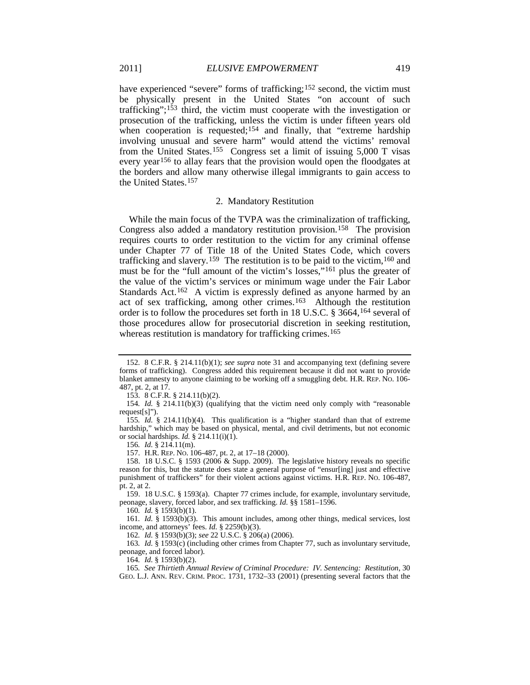have experienced "severe" forms of trafficking;<sup>[152](#page-17-0)</sup> second, the victim must be physically present in the United States "on account of such trafficking";[153](#page-17-1) third, the victim must cooperate with the investigation or prosecution of the trafficking, unless the victim is under fifteen years old when cooperation is requested;<sup>[154](#page-17-2)</sup> and finally, that "extreme hardship" involving unusual and severe harm" would attend the victims' removal from the United States.<sup>155</sup> Congress set a limit of issuing 5,000 T visas every year[156](#page-17-4) to allay fears that the provision would open the floodgates at the borders and allow many otherwise illegal immigrants to gain access to the United States[.157](#page-17-5)

#### <span id="page-17-17"></span><span id="page-17-16"></span><span id="page-17-15"></span><span id="page-17-14"></span>2. Mandatory Restitution

While the main focus of the TVPA was the criminalization of trafficking, Congress also added a mandatory restitution provision.<sup>158</sup> The provision requires courts to order restitution to the victim for any criminal offense under Chapter 77 of Title 18 of the United States Code, which covers trafficking and slavery.<sup>159</sup> The restitution is to be paid to the victim,<sup>160</sup> and must be for the "full amount of the victim's losses,"[161](#page-17-9) plus the greater of the value of the victim's services or minimum wage under the Fair Labor Standards Act.<sup>162</sup> A victim is expressly defined as anyone harmed by an act of sex trafficking, among other crimes.[163](#page-17-11) Although the restitution order is to follow the procedures set forth in 18 U.S.C. § 3664,[164](#page-17-12) several of those procedures allow for prosecutorial discretion in seeking restitution, whereas restitution is mandatory for trafficking crimes.<sup>165</sup>

160*. Id.* § 1593(b)(1).

<span id="page-17-9"></span><span id="page-17-8"></span>161*. Id.* § 1593(b)(3). This amount includes, among other things, medical services, lost income, and attorneys' fees. *Id.* § 2259(b)(3).

162*. Id.* § 1593(b)(3); *see* 22 U.S.C. § 206(a) (2006).

<span id="page-17-11"></span><span id="page-17-10"></span>163*. Id.* § 1593(c) (including other crimes from Chapter 77, such as involuntary servitude, peonage, and forced labor).

164*. Id.* § 1593(b)(2).

<span id="page-17-0"></span><sup>152</sup>*.* 8 C.F.R. § 214.11(b)(1); *see supra* note [31](#page-6-1) and accompanying text (defining severe forms of trafficking). Congress added this requirement because it did not want to provide blanket amnesty to anyone claiming to be working off a smuggling debt. H.R. REP. NO. 106- 487, pt. 2, at 17.

<sup>153.</sup> 8 C.F.R. § 214.11(b)(2).

<span id="page-17-2"></span><span id="page-17-1"></span><sup>154</sup>*. Id.* § 214.11(b)(3) (qualifying that the victim need only comply with "reasonable request[s]").

<span id="page-17-3"></span><sup>155</sup>*. Id.* § 214.11(b)(4). This qualification is a "higher standard than that of extreme hardship," which may be based on physical, mental, and civil detriments, but not economic or social hardships.  $Id. \S$  214.11(i)(1).

<sup>156</sup>*. Id.* § 214.11(m).

<sup>157.</sup> H.R. REP. NO. 106-487, pt. 2, at 17–18 (2000).

<span id="page-17-6"></span><span id="page-17-5"></span><span id="page-17-4"></span><sup>158.</sup> 18 U.S.C. § 1593 (2006 & Supp. 2009). The legislative history reveals no specific reason for this, but the statute does state a general purpose of "ensur[ing] just and effective punishment of traffickers" for their violent actions against victims. H.R. REP. NO. 106-487, pt. 2, at 2.

<span id="page-17-7"></span><sup>159.</sup> 18 U.S.C. § 1593(a). Chapter 77 crimes include, for example, involuntary servitude, peonage, slavery, forced labor, and sex trafficking. *Id.* §§ 1581–1596.

<span id="page-17-13"></span><span id="page-17-12"></span><sup>165</sup>*. See Thirtieth Annual Review of Criminal Procedure: IV. Sentencing: Restitution*, 30 GEO. L.J. ANN. REV. CRIM. PROC. 1731, 1732–33 (2001) (presenting several factors that the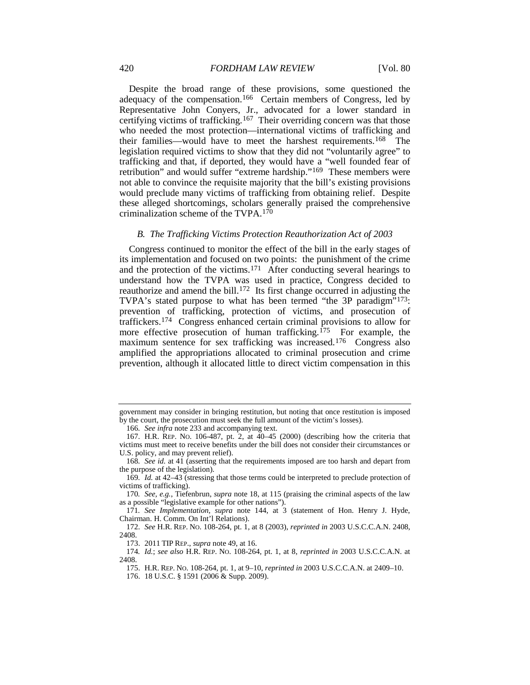Despite the broad range of these provisions, some questioned the adequacy of the compensation.<sup>[166](#page-18-0)</sup> Certain members of Congress, led by Representative John Conyers, Jr., advocated for a lower standard in certifying victims of trafficking.[167](#page-18-1) Their overriding concern was that those who needed the most protection—international victims of trafficking and their families—would have to meet the harshest requirements[.168](#page-18-2) The legislation required victims to show that they did not "voluntarily agree" to trafficking and that, if deported, they would have a "well founded fear of retribution" and would suffer "extreme hardship."[169](#page-18-3) These members were not able to convince the requisite majority that the bill's existing provisions would preclude many victims of trafficking from obtaining relief. Despite these alleged shortcomings, scholars generally praised the comprehensive criminalization scheme of the TVPA.[170](#page-18-4)

#### *B. The Trafficking Victims Protection Reauthorization Act of 2003*

Congress continued to monitor the effect of the bill in the early stages of its implementation and focused on two points: the punishment of the crime and the protection of the victims.[171](#page-18-5) After conducting several hearings to understand how the TVPA was used in practice, Congress decided to reauthorize and amend the bill[.172](#page-18-6) Its first change occurred in adjusting the TVPA's stated purpose to what has been termed "the 3P paradigm"<sup>[173](#page-18-7)</sup>: prevention of trafficking, protection of victims, and prosecution of traffickers[.174](#page-18-8) Congress enhanced certain criminal provisions to allow for more effective prosecution of human trafficking.<sup> $175$ </sup> For example, the maximum sentence for sex trafficking was increased.<sup>[176](#page-18-10)</sup> Congress also amplified the appropriations allocated to criminal prosecution and crime prevention, although it allocated little to direct victim compensation in this

government may consider in bringing restitution, but noting that once restitution is imposed by the court, the prosecution must seek the full amount of the victim's losses).

<sup>166</sup>*. See infra* not[e 233](#page-24-1) and accompanying text.

<span id="page-18-1"></span><span id="page-18-0"></span><sup>167.</sup> H.R. REP. NO. 106-487, pt. 2, at 40–45 (2000) (describing how the criteria that victims must meet to receive benefits under the bill does not consider their circumstances or U.S. policy, and may prevent relief).

<span id="page-18-2"></span><sup>168</sup>*. See id.* at 41 (asserting that the requirements imposed are too harsh and depart from the purpose of the legislation).

<span id="page-18-3"></span><sup>169</sup>*. Id.* at 42–43 (stressing that those terms could be interpreted to preclude protection of victims of trafficking).

<span id="page-18-4"></span><sup>170</sup>*. See, e.g.*, Tiefenbrun, *supra* note [18,](#page-4-4) at 115 (praising the criminal aspects of the law as a possible "legislative example for other nations").

<span id="page-18-5"></span><sup>171</sup>*. See Implementation*, *supra* note [144,](#page-16-0) at 3 (statement of Hon. Henry J. Hyde, Chairman. H. Comm. On Int'l Relations).

<span id="page-18-6"></span><sup>172.</sup> *See* H.R. REP. NO. 108-264, pt. 1, at 8 (2003), *reprinted in* 2003 U.S.C.C.A.N. 2408, 2408.

<sup>173.</sup> 2011 TIP REP., *supra* not[e 49,](#page-8-16) at 16.

<span id="page-18-10"></span><span id="page-18-9"></span><span id="page-18-8"></span><span id="page-18-7"></span><sup>174</sup>*. Id.*; *see also* H.R. REP. NO. 108-264, pt. 1, at 8, *reprinted in* 2003 U.S.C.C.A.N. at 2408.

<sup>175.</sup> H.R. REP. NO. 108-264, pt. 1, at 9–10, *reprinted in* 2003 U.S.C.C.A.N. at 2409–10.

<sup>176.</sup> 18 U.S.C. § 1591 (2006 & Supp. 2009).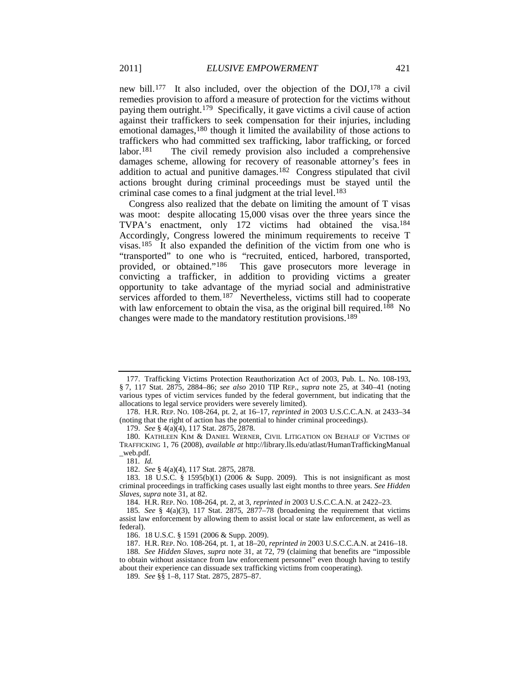<span id="page-19-14"></span>new bill.[177](#page-19-1) It also included, over the objection of the DOJ,[178](#page-19-2) a civil remedies provision to afford a measure of protection for the victims without paying them outright.[179](#page-19-3) Specifically, it gave victims a civil cause of action against their traffickers to seek compensation for their injuries, including emotional damages,<sup>[180](#page-19-4)</sup> though it limited the availability of those actions to traffickers who had committed sex trafficking, labor trafficking, or forced labor.<sup>[181](#page-19-5)</sup> The civil remedy provision also included a comprehensive damages scheme, allowing for recovery of reasonable attorney's fees in addition to actual and punitive damages.[182](#page-19-6) Congress stipulated that civil actions brought during criminal proceedings must be stayed until the criminal case comes to a final judgment at the trial level.<sup>[183](#page-19-7)</sup>

<span id="page-19-0"></span>Congress also realized that the debate on limiting the amount of T visas was moot: despite allocating 15,000 visas over the three years since the TVPA's enactment, only 172 victims had obtained the visa.<sup>[184](#page-19-8)</sup> Accordingly, Congress lowered the minimum requirements to receive T visas.[185](#page-19-9) It also expanded the definition of the victim from one who is "transported" to one who is "recruited, enticed, harbored, transported, provided, or obtained."[186](#page-19-10) This gave prosecutors more leverage in convicting a trafficker, in addition to providing victims a greater opportunity to take advantage of the myriad social and administrative services afforded to them.<sup>[187](#page-19-11)</sup> Nevertheless, victims still had to cooperate with law enforcement to obtain the visa, as the original bill required.<sup>188</sup> No changes were made to the mandatory restitution provisions.[189](#page-19-13)

179. *See* § 4(a)(4), 117 Stat. 2875, 2878.

182. *See* § 4(a)(4), 117 Stat. 2875, 2878.

184. H.R. REP. NO. 108-264, pt. 2, at 3, *reprinted in* 2003 U.S.C.C.A.N. at 2422–23.

186. 18 U.S.C. § 1591 (2006 & Supp. 2009).

187. H.R. REP. NO. 108-264, pt. 1, at 18–20, *reprinted in* 2003 U.S.C.C.A.N. at 2416–18.

<span id="page-19-13"></span><span id="page-19-12"></span><span id="page-19-11"></span><span id="page-19-10"></span>188*. See Hidden Slaves*, *supra* note [31,](#page-6-1) at 72, 79 (claiming that benefits are "impossible to obtain without assistance from law enforcement personnel" even though having to testify about their experience can dissuade sex trafficking victims from cooperating).

189*. See* §§ 1–8, 117 Stat. 2875, 2875–87.

<span id="page-19-1"></span><sup>177.</sup> Trafficking Victims Protection Reauthorization Act of 2003, Pub. L. No. 108-193, § 7, 117 Stat. 2875, 2884–86; *see also* 2010 TIP REP., *supra* note [25,](#page-5-6) at 340–41 (noting various types of victim services funded by the federal government, but indicating that the allocations to legal service providers were severely limited).

<span id="page-19-2"></span><sup>178.</sup> H.R. REP. NO. 108-264, pt. 2, at 16–17, *reprinted in* 2003 U.S.C.C.A.N. at 2433–34 (noting that the right of action has the potential to hinder criminal proceedings).

<span id="page-19-4"></span><span id="page-19-3"></span><sup>180.</sup> KATHLEEN KIM & DANIEL WERNER, CIVIL LITIGATION ON BEHALF OF VICTIMS OF TRAFFICKING 1, 76 (2008), *available at* http://library.lls.edu/atlast/HumanTraffickingManual \_web.pdf.

<sup>181</sup>*. Id.*

<span id="page-19-7"></span><span id="page-19-6"></span><span id="page-19-5"></span><sup>183.</sup> 18 U.S.C. § 1595(b)(1) (2006 & Supp. 2009). This is not insignificant as most criminal proceedings in trafficking cases usually last eight months to three years. *See Hidden Slaves*, *supra* note [31,](#page-6-1) at 82.

<span id="page-19-9"></span><span id="page-19-8"></span><sup>185</sup>*. See* § 4(a)(3), 117 Stat. 2875, 2877–78 (broadening the requirement that victims assist law enforcement by allowing them to assist local or state law enforcement, as well as federal).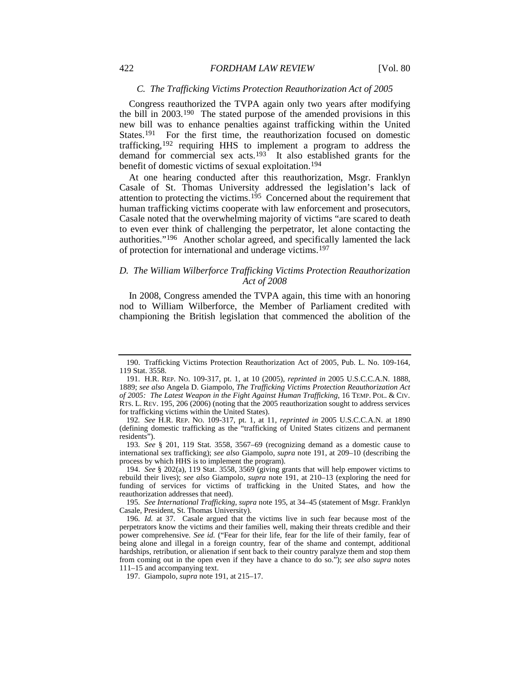#### *C. The Trafficking Victims Protection Reauthorization Act of 2005*

<span id="page-20-0"></span>Congress reauthorized the TVPA again only two years after modifying the bill in 2003.[190](#page-20-2) The stated purpose of the amended provisions in this new bill was to enhance penalties against trafficking within the United States.<sup>191</sup> For the first time, the reauthorization focused on domestic trafficking,[192](#page-20-4) requiring HHS to implement a program to address the demand for commercial sex acts.<sup>193</sup> It also established grants for the benefit of domestic victims of sexual exploitation.[194](#page-20-6)

<span id="page-20-1"></span>At one hearing conducted after this reauthorization, Msgr. Franklyn Casale of St. Thomas University addressed the legislation's lack of attention to protecting the victims.<sup>[195](#page-20-7)</sup> Concerned about the requirement that human trafficking victims cooperate with law enforcement and prosecutors, Casale noted that the overwhelming majority of victims "are scared to death to even ever think of challenging the perpetrator, let alone contacting the authorities."[196](#page-20-8) Another scholar agreed, and specifically lamented the lack of protection for international and underage victims.<sup>[197](#page-20-9)</sup>

# <span id="page-20-10"></span>*D. The William Wilberforce Trafficking Victims Protection Reauthorization Act of 2008*

In 2008, Congress amended the TVPA again, this time with an honoring nod to William Wilberforce, the Member of Parliament credited with championing the British legislation that commenced the abolition of the

<span id="page-20-2"></span><sup>190.</sup> Trafficking Victims Protection Reauthorization Act of 2005, Pub. L. No. 109-164, 119 Stat. 3558.

<span id="page-20-3"></span><sup>191.</sup> H.R. REP. NO. 109-317, pt. 1, at 10 (2005), *reprinted in* 2005 U.S.C.C.A.N. 1888, 1889; *see also* Angela D. Giampolo, *The Trafficking Victims Protection Reauthorization Act of 2005: The Latest Weapon in the Fight Against Human Trafficking*, 16 TEMP. POL. & CIV. RTS. L. REV. 195, 206 (2006) (noting that the 2005 reauthorization sought to address services for trafficking victims within the United States).

<span id="page-20-4"></span><sup>192</sup>*. See* H.R. REP. NO. 109-317, pt. 1, at 11, *reprinted in* 2005 U.S.C.C.A.N. at 1890 (defining domestic trafficking as the "trafficking of United States citizens and permanent residents").

<span id="page-20-5"></span><sup>193</sup>*. See* § 201, 119 Stat. 3558, 3567–69 (recognizing demand as a domestic cause to international sex trafficking); *see also* Giampolo, *supra* note [191,](#page-20-0) at 209–10 (describing the process by which HHS is to implement the program).

<span id="page-20-6"></span><sup>194.</sup> *See* § 202(a), 119 Stat. 3558, 3569 (giving grants that will help empower victims to rebuild their lives); *see also* Giampolo, *supra* note [191,](#page-20-0) at 210–13 (exploring the need for funding of services for victims of trafficking in the United States, and how the reauthorization addresses that need).

<span id="page-20-7"></span><sup>195</sup>*. See International Trafficking*, *supra* note [195,](#page-20-1) at 34–45 (statement of Msgr. Franklyn Casale, President, St. Thomas University).

<span id="page-20-8"></span><sup>196</sup>*. Id.* at 37. Casale argued that the victims live in such fear because most of the perpetrators know the victims and their families well, making their threats credible and their power comprehensive. *See id.* ("Fear for their life, fear for the life of their family, fear of being alone and illegal in a foreign country, fear of the shame and contempt, additional hardships, retribution, or alienation if sent back to their country paralyze them and stop them from coming out in the open even if they have a chance to do so."); *see also supra* notes [111–](#page-13-13)15 and accompanying text.

<span id="page-20-9"></span><sup>197.</sup> Giampolo, *supra* note [191,](#page-20-0) at 215–17.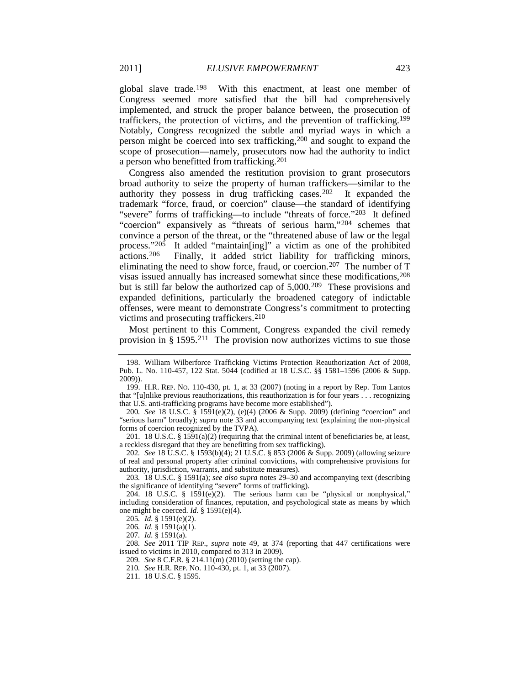global slave trade.[198](#page-21-0) With this enactment, at least one member of Congress seemed more satisfied that the bill had comprehensively implemented, and struck the proper balance between, the prosecution of traffickers, the protection of victims, and the prevention of trafficking.[199](#page-21-1) Notably, Congress recognized the subtle and myriad ways in which a person might be coerced into sex trafficking,[200](#page-21-2) and sought to expand the scope of prosecution—namely, prosecutors now had the authority to indict a person who benefitted from trafficking.[201](#page-21-3)

Congress also amended the restitution provision to grant prosecutors broad authority to seize the property of human traffickers—similar to the authority they possess in drug trafficking cases. [202](#page-21-4) It expanded the trademark "force, fraud, or coercion" clause—the standard of identifying "severe" forms of trafficking—to include "threats of force."[203](#page-21-5) It defined "coercion" expansively as "threats of serious harm,"<sup>[204](#page-21-6)</sup> schemes that convince a person of the threat, or the "threatened abuse of law or the legal process."[205](#page-21-7) It added "maintain[ing]" a victim as one of the prohibited actions[.206](#page-21-8) Finally, it added strict liability for trafficking minors, eliminating the need to show force, fraud, or coercion.<sup>[207](#page-21-9)</sup> The number of T visas issued annually has increased somewhat since these modifications, [208](#page-21-10) but is still far below the authorized cap of 5,000.<sup>209</sup> These provisions and expanded definitions, particularly the broadened category of indictable offenses, were meant to demonstrate Congress's commitment to protecting victims and prosecuting traffickers.<sup>[210](#page-21-12)</sup>

<span id="page-21-15"></span><span id="page-21-14"></span>Most pertinent to this Comment, Congress expanded the civil remedy provision in § 1595.<sup>[211](#page-21-13)</sup> The provision now authorizes victims to sue those

<span id="page-21-2"></span>200*. See* 18 U.S.C. § 1591(e)(2), (e)(4) (2006 & Supp. 2009) (defining "coercion" and "serious harm" broadly); *supra* note [33](#page-6-13) and accompanying text (explaining the non-physical forms of coercion recognized by the TVPA).

<span id="page-21-3"></span>201. 18 U.S.C. § 1591(a)(2) (requiring that the criminal intent of beneficiaries be, at least, a reckless disregard that they are benefitting from sex trafficking).

<span id="page-21-4"></span>202*. See* 18 U.S.C. § 1593(b)(4); 21 U.S.C. § 853 (2006 & Supp. 2009) (allowing seizure of real and personal property after criminal convictions, with comprehensive provisions for authority, jurisdiction, warrants, and substitute measures).

<span id="page-21-5"></span>203*.* 18 U.S.C*.* § 1591(a); *see also supra* notes [29](#page-6-12)[–30](#page-6-0) and accompanying text (describing the significance of identifying "severe" forms of trafficking).

<span id="page-21-6"></span>204. 18 U.S.C. § 1591(e)(2). The serious harm can be "physical or nonphysical," including consideration of finances, reputation, and psychological state as means by which one might be coerced. *Id.* § 1591(e)(4).

205*. Id.* § 1591(e)(2).

206*. Id.* § 1591(a)(1).

207*. Id.* § 1591(a).

<span id="page-21-13"></span><span id="page-21-12"></span><span id="page-21-11"></span><span id="page-21-10"></span><span id="page-21-9"></span><span id="page-21-8"></span><span id="page-21-7"></span>208*. See* 2011 TIP REP., *supra* note [49,](#page-8-16) at 374 (reporting that 447 certifications were issued to victims in 2010, compared to 313 in 2009).

209*. See* 8 C.F.R. § 214.11(m) (2010) (setting the cap).

210*. See* H.R. REP. NO. 110-430, pt. 1, at 33 (2007).

211. 18 U.S.C. § 1595.

<span id="page-21-0"></span><sup>198.</sup> William Wilberforce Trafficking Victims Protection Reauthorization Act of 2008, Pub. L. No. 110-457, 122 Stat. 5044 (codified at 18 U.S.C. §§ 1581–1596 (2006 & Supp. 2009)).

<span id="page-21-1"></span><sup>199.</sup> H.R. REP. NO. 110-430, pt. 1, at 33 (2007) (noting in a report by Rep. Tom Lantos that "[u]nlike previous reauthorizations, this reauthorization is for four years . . . recognizing that U.S. anti-trafficking programs have become more established").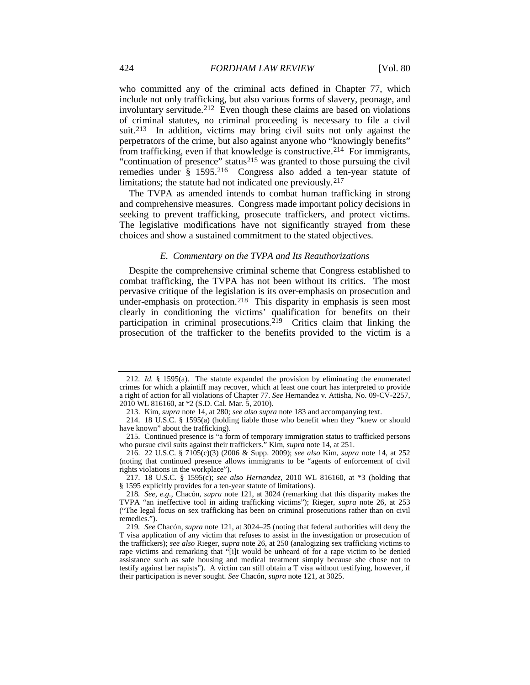who committed any of the criminal acts defined in Chapter 77, which include not only trafficking, but also various forms of slavery, peonage, and involuntary servitude.[212](#page-22-1) Even though these claims are based on violations of criminal statutes, no criminal proceeding is necessary to file a civil suit.<sup>[213](#page-22-2)</sup> In addition, victims may bring civil suits not only against the perpetrators of the crime, but also against anyone who "knowingly benefits" from trafficking, even if that knowledge is constructive.<sup>214</sup> For immigrants, "continuation of presence" status<sup>[215](#page-22-4)</sup> was granted to those pursuing the civil remedies under § 1595.[216](#page-22-5) Congress also added a ten-year statute of limitations; the statute had not indicated one previously.<sup>[217](#page-22-6)</sup>

The TVPA as amended intends to combat human trafficking in strong and comprehensive measures. Congress made important policy decisions in seeking to prevent trafficking, prosecute traffickers, and protect victims. The legislative modifications have not significantly strayed from these choices and show a sustained commitment to the stated objectives.

#### <span id="page-22-0"></span>*E. Commentary on the TVPA and Its Reauthorizations*

Despite the comprehensive criminal scheme that Congress established to combat trafficking, the TVPA has not been without its critics. The most pervasive critique of the legislation is its over-emphasis on prosecution and under-emphasis on protection.<sup>218</sup> This disparity in emphasis is seen most clearly in conditioning the victims' qualification for benefits on their participation in criminal prosecutions.<sup>[219](#page-22-8)</sup> Critics claim that linking the prosecution of the trafficker to the benefits provided to the victim is a

<span id="page-22-1"></span><sup>212</sup>*. Id.* § 1595(a). The statute expanded the provision by eliminating the enumerated crimes for which a plaintiff may recover, which at least one court has interpreted to provide a right of action for all violations of Chapter 77. *See* Hernandez v. Attisha, No. 09-CV-2257, 2010 WL 816160, at \*2 (S.D. Cal. Mar. 5, 2010).

<sup>213.</sup> Kim, *supra* note [14,](#page-3-0) at 280; *see also supra* note [183](#page-19-0) and accompanying text.

<span id="page-22-3"></span><span id="page-22-2"></span><sup>214.</sup> 18 U.S.C. § 1595(a) (holding liable those who benefit when they "knew or should have known" about the trafficking).

<span id="page-22-4"></span><sup>215.</sup> Continued presence is "a form of temporary immigration status to trafficked persons who pursue civil suits against their traffickers." Kim, *supra* note [14,](#page-3-0) at 251.

<span id="page-22-5"></span><sup>216.</sup> 22 U.S.C. § 7105(c)(3) (2006 & Supp. 2009); *see also* Kim, *supra* note [14,](#page-3-0) at 252 (noting that continued presence allows immigrants to be "agents of enforcement of civil rights violations in the workplace").

<span id="page-22-6"></span><sup>217.</sup> 18 U.S.C. § 1595(c); *see also Hernandez*, 2010 WL 816160, at \*3 (holding that § 1595 explicitly provides for a ten-year statute of limitations).

<span id="page-22-7"></span><sup>218</sup>*. See, e.g.*, Chacón, *supra* note [121,](#page-14-15) at 3024 (remarking that this disparity makes the TVPA "an ineffective tool in aiding trafficking victims"); Rieger, *supra* note [26,](#page-5-9) at 253 ("The legal focus on sex trafficking has been on criminal prosecutions rather than on civil remedies.").

<span id="page-22-8"></span><sup>219</sup>*. See* Chacón, *supra* not[e 121,](#page-14-15) at 3024–25 (noting that federal authorities will deny the T visa application of any victim that refuses to assist in the investigation or prosecution of the traffickers); *see also* Rieger, *supra* note [26,](#page-5-9) at 250 (analogizing sex trafficking victims to rape victims and remarking that "[i]t would be unheard of for a rape victim to be denied assistance such as safe housing and medical treatment simply because she chose not to testify against her rapists"). A victim can still obtain a T visa without testifying, however, if their participation is never sought. *See* Chacón, *supra* not[e 121,](#page-14-15) at 3025.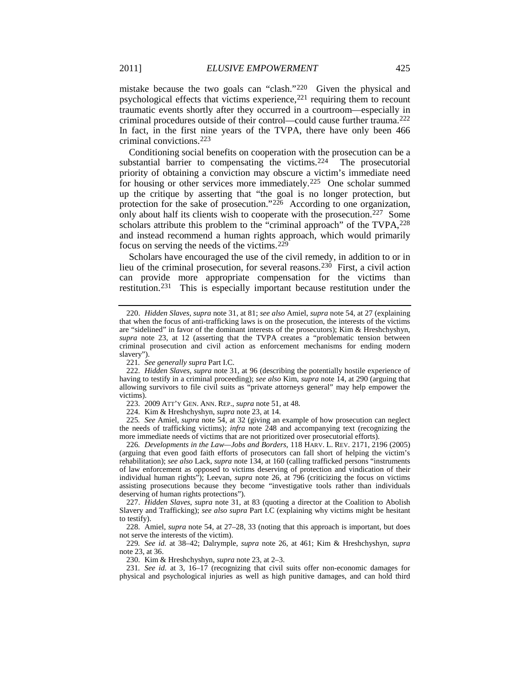mistake because the two goals can "clash."[220](#page-23-0) Given the physical and psychological effects that victims experience, $221$  requiring them to recount traumatic events shortly after they occurred in a courtroom—especially in criminal procedures outside of their control—could cause further trauma.[222](#page-23-2) In fact, in the first nine years of the TVPA, there have only been 466 criminal convictions[.223](#page-23-3)

<span id="page-23-13"></span>Conditioning social benefits on cooperation with the prosecution can be a substantial barrier to compensating the victims.<sup>[224](#page-23-4)</sup> The prosecutorial priority of obtaining a conviction may obscure a victim's immediate need for housing or other services more immediately.[225](#page-23-5) One scholar summed up the critique by asserting that "the goal is no longer protection, but protection for the sake of prosecution." $2\tilde{26}$  According to one organization, only about half its clients wish to cooperate with the prosecution.<sup>227</sup> Some scholars attribute this problem to the "criminal approach" of the TVPA,  $^{228}$  $^{228}$  $^{228}$ and instead recommend a human rights approach, which would primarily focus on serving the needs of the victims.[229](#page-23-9)

<span id="page-23-12"></span>Scholars have encouraged the use of the civil remedy, in addition to or in lieu of the criminal prosecution, for several reasons.<sup>230</sup> First, a civil action can provide more appropriate compensation for the victims than restitution.<sup>[231](#page-23-11)</sup> This is especially important because restitution under the

<span id="page-23-5"></span><span id="page-23-4"></span><span id="page-23-3"></span>225*. See* Amiel, *supra* note [54,](#page-8-0) at 32 (giving an example of how prosecution can neglect the needs of trafficking victims); *infra* note [248](#page-25-0) and accompanying text (recognizing the more immediate needs of victims that are not prioritized over prosecutorial efforts).

<span id="page-23-6"></span>226*. Developments in the Law—Jobs and Borders*, 118 HARV. L. REV. 2171, 2196 (2005) (arguing that even good faith efforts of prosecutors can fall short of helping the victim's rehabilitation); *see also* Lack, *supra* not[e 134,](#page-15-8) at 160 (calling trafficked persons "instruments of law enforcement as opposed to victims deserving of protection and vindication of their individual human rights"); Leevan, *supra* note [26,](#page-5-9) at 796 (criticizing the focus on victims assisting prosecutions because they become "investigative tools rather than individuals deserving of human rights protections").

<span id="page-23-7"></span>227. *Hidden Slaves*, *supra* note [31,](#page-6-1) at 83 (quoting a director at the Coalition to Abolish Slavery and Trafficking); *see also supra* Part I.C (explaining why victims might be hesitant to testify).

<span id="page-23-8"></span>228. Amiel, *supra* note [54,](#page-8-0) at 27–28, 33 (noting that this approach is important, but does not serve the interests of the victim).

<span id="page-23-9"></span>229*. See id.* at 38–42; Dalrymple, *supra* note [26,](#page-5-9) at 461; Kim & Hreshchyshyn, *supra* not[e 23,](#page-5-7) at 36.

230. Kim & Hreshchyshyn, *supra* note [23,](#page-5-7) at 2–3.

<span id="page-23-11"></span><span id="page-23-10"></span>231*. See id.* at 3, 16–17 (recognizing that civil suits offer non-economic damages for physical and psychological injuries as well as high punitive damages, and can hold third

<span id="page-23-14"></span><span id="page-23-0"></span><sup>220.</sup> *Hidden Slaves*, *supra* note [31,](#page-6-1) at 81; *see also* Amiel, *supra* note [54,](#page-8-0) at 27 (explaining that when the focus of anti-trafficking laws is on the prosecution, the interests of the victims are "sidelined" in favor of the dominant interests of the prosecutors); Kim & Hreshchyshyn, *supra* note [23,](#page-5-7) at 12 (asserting that the TVPA creates a "problematic tension between criminal prosecution and civil action as enforcement mechanisms for ending modern slavery").

<sup>221</sup>*. See generally supra* Part I.C.

<span id="page-23-2"></span><span id="page-23-1"></span><sup>222.</sup> *Hidden Slaves*, *supra* note [31,](#page-6-1) at 96 (describing the potentially hostile experience of having to testify in a criminal proceeding); *see also* Kim, *supra* note [14,](#page-3-0) at 290 (arguing that allowing survivors to file civil suits as "private attorneys general" may help empower the victims).

<sup>223.</sup> 2009 ATT'Y GEN. ANN. REP., *supra* not[e 51,](#page-8-17) at 48.

<sup>224.</sup> Kim & Hreshchyshyn, *supra* note [23,](#page-5-7) at 14.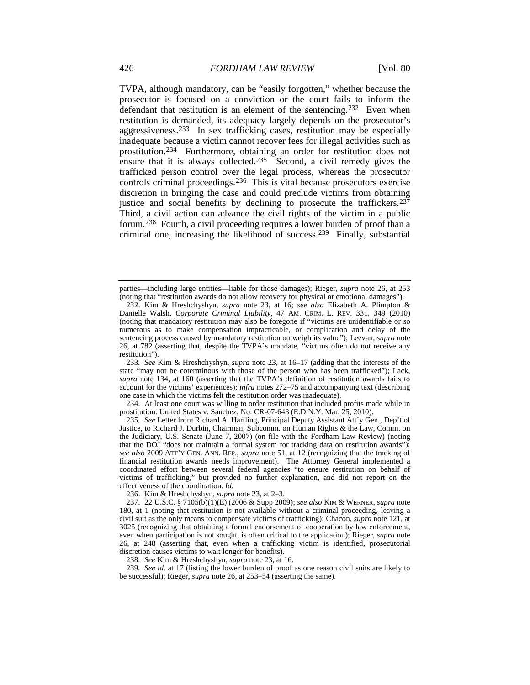<span id="page-24-11"></span><span id="page-24-10"></span><span id="page-24-1"></span><span id="page-24-0"></span>TVPA, although mandatory, can be "easily forgotten," whether because the prosecutor is focused on a conviction or the court fails to inform the defendant that restitution is an element of the sentencing.<sup>232</sup> Even when restitution is demanded, its adequacy largely depends on the prosecutor's aggressiveness.[233](#page-24-3) In sex trafficking cases, restitution may be especially inadequate because a victim cannot recover fees for illegal activities such as prostitution.[234](#page-24-4) Furthermore, obtaining an order for restitution does not ensure that it is always collected.<sup>235</sup> Second, a civil remedy gives the trafficked person control over the legal process, whereas the prosecutor controls criminal proceedings.[236](#page-24-6) This is vital because prosecutors exercise discretion in bringing the case and could preclude victims from obtaining justice and social benefits by declining to prosecute the traffickers.<sup>[237](#page-24-7)</sup> Third, a civil action can advance the civil rights of the victim in a public forum.[238](#page-24-8) Fourth, a civil proceeding requires a lower burden of proof than a criminal one, increasing the likelihood of success.[239](#page-24-9) Finally, substantial

<span id="page-24-4"></span>234. At least one court was willing to order restitution that included profits made while in prostitution. United States v. Sanchez, No. CR-07-643 (E.D.N.Y. Mar. 25, 2010).

<span id="page-24-5"></span>235*. See* Letter from Richard A. Hartling, Principal Deputy Assistant Att'y Gen., Dep't of Justice, to Richard J. Durbin, Chairman, Subcomm. on Human Rights & the Law, Comm. on the Judiciary, U.S. Senate (June 7, 2007) (on file with the Fordham Law Review) (noting that the DOJ "does not maintain a formal system for tracking data on restitution awards"); *see also* 2009 ATT'Y GEN. ANN. REP., *supra* note [51,](#page-8-17) at 12 (recognizing that the tracking of financial restitution awards needs improvement). The Attorney General implemented a coordinated effort between several federal agencies "to ensure restitution on behalf of victims of trafficking," but provided no further explanation, and did not report on the effectiveness of the coordination. *Id.*

236. Kim & Hreshchyshyn, *supra* note [23,](#page-5-7) at 2–3.

238*. See* Kim & Hreshchyshyn, *supra* not[e 23,](#page-5-7) at 16.

<span id="page-24-9"></span><span id="page-24-8"></span>239*. See id.* at 17 (listing the lower burden of proof as one reason civil suits are likely to be successful); Rieger, *supra* not[e 26,](#page-5-9) at 253–54 (asserting the same).

parties—including large entities—liable for those damages); Rieger, *supra* note [26,](#page-5-9) at 253 (noting that "restitution awards do not allow recovery for physical or emotional damages").

<span id="page-24-2"></span><sup>232.</sup> Kim & Hreshchyshyn, *supra* note [23,](#page-5-7) at 16; *see also* Elizabeth A. Plimpton & Danielle Walsh, *Corporate Criminal Liability*, 47 AM. CRIM. L. REV. 331, 349 (2010) (noting that mandatory restitution may also be foregone if "victims are unidentifiable or so numerous as to make compensation impracticable, or complication and delay of the sentencing process caused by mandatory restitution outweigh its value"); Leevan, *supra* note [26,](#page-5-9) at 782 (asserting that, despite the TVPA's mandate, "victims often do not receive any restitution").

<span id="page-24-3"></span><sup>233</sup>*. See* Kim & Hreshchyshyn, *supra* note [23,](#page-5-7) at 16–17 (adding that the interests of the state "may not be coterminous with those of the person who has been trafficked"); Lack, *supra* note [134,](#page-15-8) at 160 (asserting that the TVPA's definition of restitution awards fails to account for the victims' experiences); *infra* notes [272–](#page-27-0)75 and accompanying text (describing one case in which the victims felt the restitution order was inadequate).

<span id="page-24-7"></span><span id="page-24-6"></span><sup>237.</sup> 22 U.S.C. § 7105(b)(1)(E) (2006 & Supp 2009); *see also* KIM & WERNER, *supra* note [180,](#page-19-14) at 1 (noting that restitution is not available without a criminal proceeding, leaving a civil suit as the only means to compensate victims of trafficking); Chacón, *supra* not[e 121,](#page-14-15) at 3025 (recognizing that obtaining a formal endorsement of cooperation by law enforcement, even when participation is not sought, is often critical to the application); Rieger, *supra* note [26,](#page-5-9) at 248 (asserting that, even when a trafficking victim is identified, prosecutorial discretion causes victims to wait longer for benefits).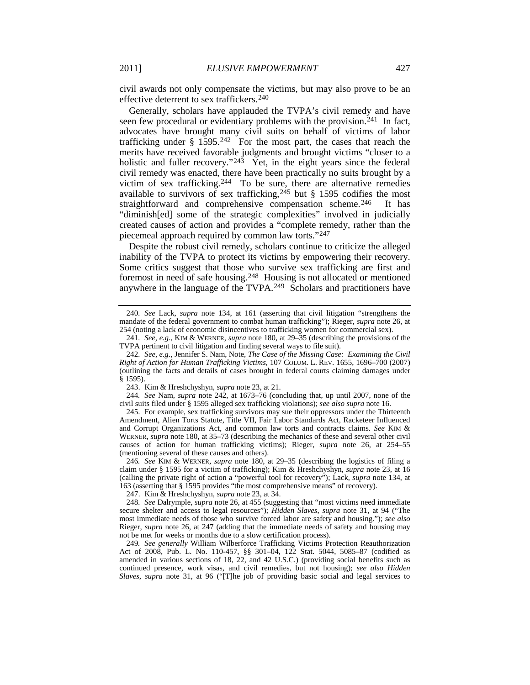civil awards not only compensate the victims, but may also prove to be an effective deterrent to sex traffickers[.240](#page-25-2)

<span id="page-25-14"></span><span id="page-25-12"></span><span id="page-25-1"></span>Generally, scholars have applauded the TVPA's civil remedy and have seen few procedural or evidentiary problems with the provision.<sup>[241](#page-25-3)</sup> In fact, advocates have brought many civil suits on behalf of victims of labor trafficking under  $\S$  1595.<sup>242</sup> For the most part, the cases that reach the merits have received favorable judgments and brought victims "closer to a holistic and fuller recovery." $243$  Yet, in the eight years since the federal civil remedy was enacted, there have been practically no suits brought by a victim of sex trafficking.<sup>[244](#page-25-6)</sup> To be sure, there are alternative remedies available to survivors of sex trafficking,  $245$  but § 1595 codifies the most straightforward and comprehensive compensation scheme.<sup>[246](#page-25-8)</sup> It has "diminish[ed] some of the strategic complexities" involved in judicially created causes of action and provides a "complete remedy, rather than the piecemeal approach required by common law torts."[247](#page-25-9)

<span id="page-25-13"></span><span id="page-25-0"></span>Despite the robust civil remedy, scholars continue to criticize the alleged inability of the TVPA to protect its victims by empowering their recovery. Some critics suggest that those who survive sex trafficking are first and foremost in need of safe housing.[248](#page-25-10) Housing is not allocated or mentioned anywhere in the language of the TVPA.<sup>[249](#page-25-11)</sup> Scholars and practitioners have

<span id="page-25-2"></span><sup>240</sup>*. See* Lack, *supra* note [134,](#page-15-8) at 161 (asserting that civil litigation "strengthens the mandate of the federal government to combat human trafficking"); Rieger, *supra* not[e 26,](#page-5-9) at 254 (noting a lack of economic disincentives to trafficking women for commercial sex).

<span id="page-25-3"></span><sup>241</sup>*. See, e.g.*, KIM & WERNER, *supra* note [180,](#page-19-14) at 29–35 (describing the provisions of the TVPA pertinent to civil litigation and finding several ways to file suit).

<span id="page-25-4"></span><sup>242</sup>*. See, e.g.*, Jennifer S. Nam, Note, *The Case of the Missing Case: Examining the Civil Right of Action for Human Trafficking Victims*, 107 COLUM. L. REV. 1655, 1696–700 (2007) (outlining the facts and details of cases brought in federal courts claiming damages under § 1595).

<sup>243.</sup> Kim & Hreshchyshyn, *supra* note [23,](#page-5-7) at 21.

<span id="page-25-6"></span><span id="page-25-5"></span><sup>244</sup>*. See* Nam, *supra* note [242,](#page-25-1) at 1673–76 (concluding that, up until 2007, none of the civil suits filed under § 1595 alleged sex trafficking violations); *see also supra* note [16.](#page-3-13)

<span id="page-25-7"></span><sup>245.</sup> For example, sex trafficking survivors may sue their oppressors under the Thirteenth Amendment, Alien Torts Statute, Title VII, Fair Labor Standards Act, Racketeer Influenced and Corrupt Organizations Act, and common law torts and contracts claims. *See* KIM & WERNER, *supra* note [180,](#page-19-14) at 35–73 (describing the mechanics of these and several other civil causes of action for human trafficking victims); Rieger, *supra* note [26,](#page-5-9) at 254–55 (mentioning several of these causes and others).

<span id="page-25-8"></span><sup>246</sup>*. See* KIM & WERNER, *supra* note [180,](#page-19-14) at 29–35 (describing the logistics of filing a claim under § 1595 for a victim of trafficking); Kim & Hreshchyshyn, *supra* not[e 23,](#page-5-7) at 16 (calling the private right of action a "powerful tool for recovery"); Lack, *supra* note [134,](#page-15-8) at 163 (asserting that § 1595 provides "the most comprehensive means" of recovery).

<sup>247.</sup> Kim & Hreshchyshyn, *supra* note [23,](#page-5-7) at 34.

<span id="page-25-10"></span><span id="page-25-9"></span><sup>248</sup>*. See* Dalrymple, *supra* not[e 26,](#page-5-9) at 455 (suggesting that "most victims need immediate secure shelter and access to legal resources"); *Hidden Slaves*, *supra* note [31,](#page-6-1) at 94 ("The most immediate needs of those who survive forced labor are safety and housing."); *see also* Rieger, *supra* note [26,](#page-5-9) at 247 (adding that the immediate needs of safety and housing may not be met for weeks or months due to a slow certification process).

<span id="page-25-11"></span><sup>249</sup>*. See generally* William Wilberforce Trafficking Victims Protection Reauthorization Act of 2008, Pub. L. No. 110-457, §§ 301–04, 122 Stat. 5044, 5085–87 (codified as amended in various sections of 18, 22, and 42 U.S.C.) (providing social benefits such as continued presence, work visas, and civil remedies, but not housing); *see also Hidden Slaves*, *supra* note [31,](#page-6-1) at 96 ("[T]he job of providing basic social and legal services to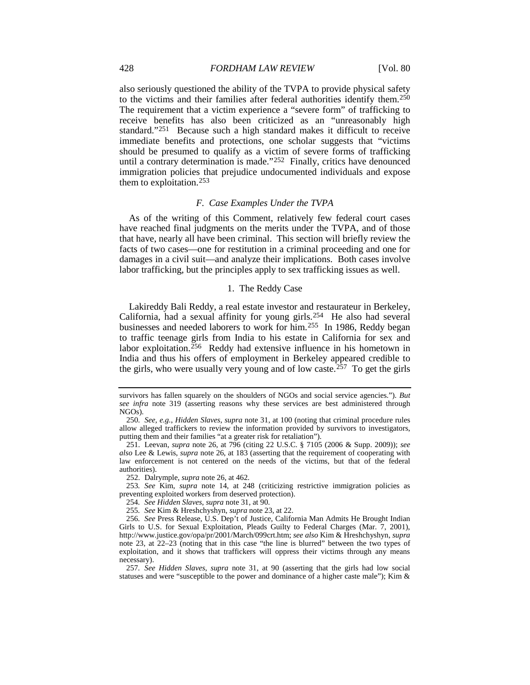also seriously questioned the ability of the TVPA to provide physical safety to the victims and their families after federal authorities identify them.[250](#page-26-0) The requirement that a victim experience a "severe form" of trafficking to receive benefits has also been criticized as an "unreasonably high standard."[251](#page-26-1) Because such a high standard makes it difficult to receive immediate benefits and protections, one scholar suggests that "victims should be presumed to qualify as a victim of severe forms of trafficking until a contrary determination is made."[252](#page-26-2) Finally, critics have denounced immigration policies that prejudice undocumented individuals and expose them to exploitation.[253](#page-26-3)

#### *F. Case Examples Under the TVPA*

As of the writing of this Comment, relatively few federal court cases have reached final judgments on the merits under the TVPA, and of those that have, nearly all have been criminal. This section will briefly review the facts of two cases—one for restitution in a criminal proceeding and one for damages in a civil suit—and analyze their implications. Both cases involve labor trafficking, but the principles apply to sex trafficking issues as well.

# <span id="page-26-8"></span>1. The Reddy Case

Lakireddy Bali Reddy, a real estate investor and restaurateur in Berkeley, California, had a sexual affinity for young girls.[254](#page-26-4) He also had several businesses and needed laborers to work for him.[255](#page-26-5) In 1986, Reddy began to traffic teenage girls from India to his estate in California for sex and labor exploitation.<sup>256</sup> Reddy had extensive influence in his hometown in India and thus his offers of employment in Berkeley appeared credible to the girls, who were usually very young and of low caste.[257](#page-26-7) To get the girls

survivors has fallen squarely on the shoulders of NGOs and social service agencies."). *But see infra* note [319](#page-31-0) (asserting reasons why these services are best administered through NGOs).

<span id="page-26-0"></span><sup>250</sup>*. See, e.g.*, *Hidden Slaves*, *supra* note [31,](#page-6-1) at 100 (noting that criminal procedure rules allow alleged traffickers to review the information provided by survivors to investigators, putting them and their families "at a greater risk for retaliation").

<span id="page-26-1"></span><sup>251.</sup> Leevan, *supra* note [26,](#page-5-9) at 796 (citing 22 U.S.C. § 7105 (2006 & Supp. 2009)); *see also* Lee & Lewis, *supra* note [26,](#page-5-9) at 183 (asserting that the requirement of cooperating with law enforcement is not centered on the needs of the victims, but that of the federal authorities).

<sup>252.</sup> Dalrymple, *supra* not[e 26,](#page-5-9) at 462.

<span id="page-26-3"></span><span id="page-26-2"></span><sup>253</sup>*. See* Kim, *supra* note [14,](#page-3-0) at 248 (criticizing restrictive immigration policies as preventing exploited workers from deserved protection).

<sup>254</sup>*. See Hidden Slaves*, *supra* note [31,](#page-6-1) at 90.

<sup>255</sup>*. See* Kim & Hreshchyshyn, *supra* not[e 23,](#page-5-7) at 22.

<span id="page-26-6"></span><span id="page-26-5"></span><span id="page-26-4"></span><sup>256</sup>*. See* Press Release, U.S. Dep't of Justice, California Man Admits He Brought Indian Girls to U.S. for Sexual Exploitation, Pleads Guilty to Federal Charges (Mar. 7, 2001), http://www.justice.gov/opa/pr/2001/March/099crt.htm; *see also* Kim & Hreshchyshyn, *supra* note [23,](#page-5-7) at 22–23 (noting that in this case "the line is blurred" between the two types of exploitation, and it shows that traffickers will oppress their victims through any means necessary).

<span id="page-26-7"></span><sup>257</sup>*. See Hidden Slaves*, *supra* note [31,](#page-6-1) at 90 (asserting that the girls had low social statuses and were "susceptible to the power and dominance of a higher caste male"); Kim &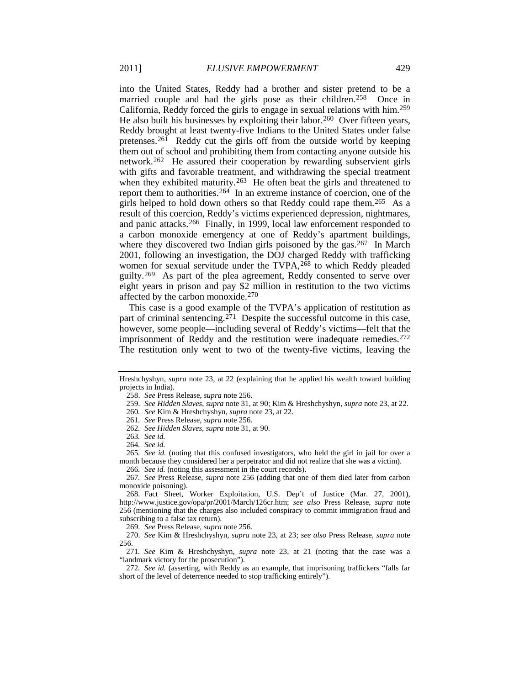into the United States, Reddy had a brother and sister pretend to be a married couple and had the girls pose as their children[.258](#page-27-1) Once in California, Reddy forced the girls to engage in sexual relations with him.[259](#page-27-2) He also built his businesses by exploiting their labor.<sup>260</sup> Over fifteen years, Reddy brought at least twenty-five Indians to the United States under false pretenses.<sup>[261](#page-27-4)</sup> Reddy cut the girls off from the outside world by keeping them out of school and prohibiting them from contacting anyone outside his network.[262](#page-27-5) He assured their cooperation by rewarding subservient girls with gifts and favorable treatment, and withdrawing the special treatment when they exhibited maturity.<sup>[263](#page-27-6)</sup> He often beat the girls and threatened to report them to authorities[.264](#page-27-7) In an extreme instance of coercion, one of the girls helped to hold down others so that Reddy could rape them.[265](#page-27-8) As a result of this coercion, Reddy's victims experienced depression, nightmares, and panic attacks.[266](#page-27-9) Finally, in 1999, local law enforcement responded to a carbon monoxide emergency at one of Reddy's apartment buildings, where they discovered two Indian girls poisoned by the gas.<sup>267</sup> In March 2001, following an investigation, the DOJ charged Reddy with trafficking women for sexual servitude under the TVPA,<sup>[268](#page-27-11)</sup> to which Reddy pleaded guilty.[269](#page-27-12) As part of the plea agreement, Reddy consented to serve over eight years in prison and pay \$2 million in restitution to the two victims affected by the carbon monoxide.[270](#page-27-13)

This case is a good example of the TVPA's application of restitution as part of criminal sentencing.<sup>271</sup> Despite the successful outcome in this case, however, some people—including several of Reddy's victims—felt that the imprisonment of Reddy and the restitution were inadequate remedies.<sup>[272](#page-27-15)</sup> The restitution only went to two of the twenty-five victims, leaving the

264*. See id.*

266*. See id.* (noting this assessment in the court records).

<span id="page-27-10"></span><span id="page-27-9"></span>267*. See* Press Release, *supra* note [256](#page-26-8) (adding that one of them died later from carbon monoxide poisoning).

<span id="page-27-3"></span><span id="page-27-2"></span><span id="page-27-1"></span>Hreshchyshyn, *supra* note [23,](#page-5-7) at 22 (explaining that he applied his wealth toward building projects in India).

<span id="page-27-0"></span><sup>258.</sup> *See* Press Release, *supra* note [256.](#page-26-8)

<sup>259.</sup> *See Hidden Slaves*, *supra* note [31,](#page-6-1) at 90; Kim & Hreshchyshyn, *supra* not[e 23,](#page-5-7) at 22.

<sup>260</sup>*. See* Kim & Hreshchyshyn, *supra* not[e 23,](#page-5-7) at 22.

<sup>261</sup>*. See* Press Release, *supra* note [256.](#page-26-8)

<sup>262</sup>*. See Hidden Slaves*, *supra* note [31,](#page-6-1) at 90.

<sup>263</sup>*. See id.*

<span id="page-27-8"></span><span id="page-27-7"></span><span id="page-27-6"></span><span id="page-27-5"></span><span id="page-27-4"></span><sup>265</sup>*. See id.* (noting that this confused investigators, who held the girl in jail for over a month because they considered her a perpetrator and did not realize that she was a victim).

<span id="page-27-11"></span><sup>268.</sup> Fact Sheet, Worker Exploitation, U.S. Dep't of Justice (Mar. 27, 2001), http://www.justice.gov/opa/pr/2001/March/126cr.htm; *see also* Press Release, *supra* note [256](#page-26-8) (mentioning that the charges also included conspiracy to commit immigration fraud and subscribing to a false tax return).

<sup>269.</sup> *See* Press Release, *supra* note [256.](#page-26-8)

<span id="page-27-13"></span><span id="page-27-12"></span><sup>270.</sup> *See* Kim & Hreshchyshyn, *supra* note [23,](#page-5-7) at 23; *see also* Press Release, *supra* note [256.](#page-26-8)

<span id="page-27-14"></span><sup>271</sup>*. See* Kim & Hreshchyshyn, *supra* note [23,](#page-5-7) at 21 (noting that the case was a "landmark victory for the prosecution").

<span id="page-27-15"></span><sup>272</sup>*. See id.* (asserting, with Reddy as an example, that imprisoning traffickers "falls far short of the level of deterrence needed to stop trafficking entirely").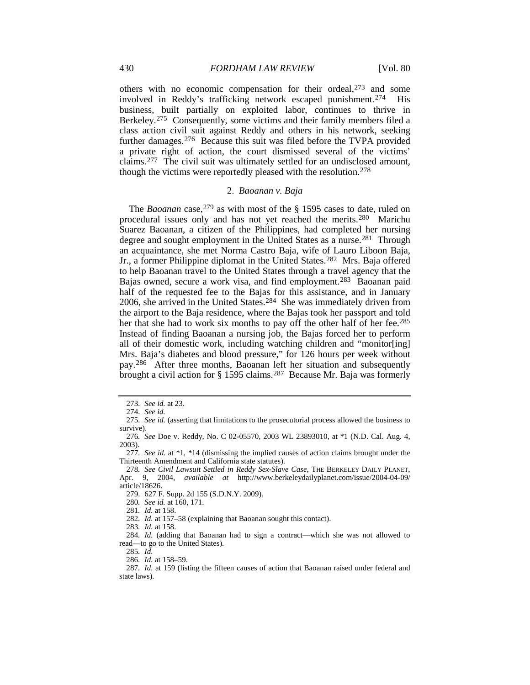others with no economic compensation for their ordeal, $273$  and some involved in Reddy's trafficking network escaped punishment[.274](#page-28-1) His business, built partially on exploited labor, continues to thrive in Berkeley.[275](#page-28-2) Consequently, some victims and their family members filed a class action civil suit against Reddy and others in his network, seeking further damages.[276](#page-28-3) Because this suit was filed before the TVPA provided a private right of action, the court dismissed several of the victims' claims.[277](#page-28-4) The civil suit was ultimately settled for an undisclosed amount, though the victims were reportedly pleased with the resolution.[278](#page-28-5)

# 2. *Baoanan v. Baja*

The *Baoanan* case,<sup>[279](#page-28-6)</sup> as with most of the § 1595 cases to date, ruled on procedural issues only and has not yet reached the merits[.280](#page-28-7) Marichu Suarez Baoanan, a citizen of the Philippines, had completed her nursing degree and sought employment in the United States as a nurse.[281](#page-28-8) Through an acquaintance, she met Norma Castro Baja, wife of Lauro Liboon Baja, Jr., a former Philippine diplomat in the United States.[282](#page-28-9) Mrs. Baja offered to help Baoanan travel to the United States through a travel agency that the Bajas owned, secure a work visa, and find employment.[283](#page-28-10) Baoanan paid half of the requested fee to the Bajas for this assistance, and in January 2006, she arrived in the United States.[284](#page-28-11) She was immediately driven from the airport to the Baja residence, where the Bajas took her passport and told her that she had to work six months to pay off the other half of her fee.<sup>[285](#page-28-12)</sup> Instead of finding Baoanan a nursing job, the Bajas forced her to perform all of their domestic work, including watching children and "monitor[ing] Mrs. Baja's diabetes and blood pressure," for 126 hours per week without pay.[286](#page-28-13) After three months, Baoanan left her situation and subsequently brought a civil action for § 1595 claims.<sup>[287](#page-28-14)</sup> Because Mr. Baja was formerly

279. 627 F. Supp. 2d 155 (S.D.N.Y. 2009).

280*. See id.* at 160, 171.

281*. Id.* at 158.

282*. Id.* at 157–58 (explaining that Baoanan sought this contact).

283*. Id.* at 158.

<span id="page-28-12"></span><span id="page-28-11"></span><span id="page-28-10"></span><span id="page-28-9"></span><span id="page-28-8"></span>284*. Id.* (adding that Baoanan had to sign a contract—which she was not allowed to read—to go to the United States).

285*. Id.*

<sup>273</sup>*. See id.* at 23.

<sup>274</sup>*. See id.*

<span id="page-28-2"></span><span id="page-28-1"></span><span id="page-28-0"></span><sup>275</sup>*. See id.* (asserting that limitations to the prosecutorial process allowed the business to survive).

<span id="page-28-3"></span><sup>276</sup>*. See* Doe v. Reddy, No. C 02-05570, 2003 WL 23893010, at \*1 (N.D. Cal. Aug. 4, 2003).

<span id="page-28-4"></span><sup>277</sup>*. See id.* at \*1, \*14 (dismissing the implied causes of action claims brought under the Thirteenth Amendment and California state statutes).

<span id="page-28-7"></span><span id="page-28-6"></span><span id="page-28-5"></span><sup>278</sup>*. See Civil Lawsuit Settled in Reddy Sex-Slave Case*, THE BERKELEY DAILY PLANET, Apr. 9, 2004, *available at* http://www.berkeleydailyplanet.com/issue/2004-04-09/ article/18626.

<sup>286</sup>*. Id.* at 158–59.

<span id="page-28-14"></span><span id="page-28-13"></span><sup>287</sup>*. Id.* at 159 (listing the fifteen causes of action that Baoanan raised under federal and state laws).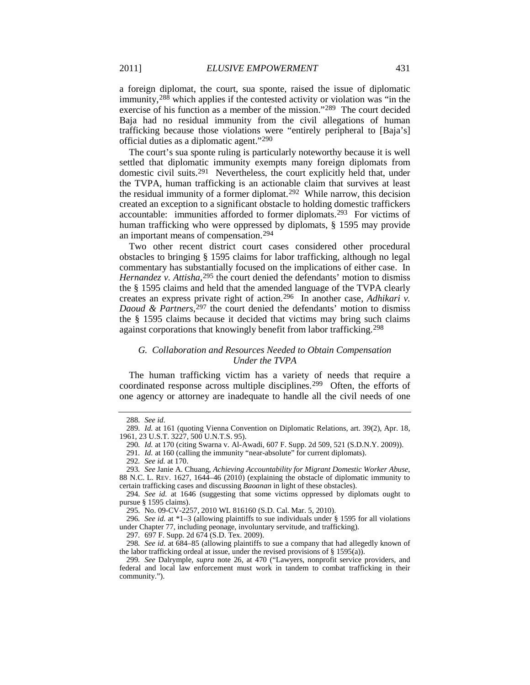a foreign diplomat, the court, sua sponte, raised the issue of diplomatic immunity,  $288$  which applies if the contested activity or violation was "in the exercise of his function as a member of the mission."[289](#page-29-1) The court decided Baja had no residual immunity from the civil allegations of human trafficking because those violations were "entirely peripheral to [Baja's] official duties as a diplomatic agent."[290](#page-29-2)

The court's sua sponte ruling is particularly noteworthy because it is well settled that diplomatic immunity exempts many foreign diplomats from domestic civil suits.<sup>[291](#page-29-3)</sup> Nevertheless, the court explicitly held that, under the TVPA, human trafficking is an actionable claim that survives at least the residual immunity of a former diplomat.[292](#page-29-4) While narrow, this decision created an exception to a significant obstacle to holding domestic traffickers accountable: immunities afforded to former diplomats.[293](#page-29-5) For victims of human trafficking who were oppressed by diplomats, § 1595 may provide an important means of compensation.[294](#page-29-6)

Two other recent district court cases considered other procedural obstacles to bringing § 1595 claims for labor trafficking, although no legal commentary has substantially focused on the implications of either case. In *Hernandez v. Attisha*,<sup>295</sup> the court denied the defendants' motion to dismiss the § 1595 claims and held that the amended language of the TVPA clearly creates an express private right of action.[296](#page-29-8) In another case, *Adhikari v. Daoud & Partners*, $297$  the court denied the defendants' motion to dismiss the § 1595 claims because it decided that victims may bring such claims against corporations that knowingly benefit from labor trafficking.[298](#page-29-10)

# *G. Collaboration and Resources Needed to Obtain Compensation Under the TVPA*

The human trafficking victim has a variety of needs that require a coordinated response across multiple disciplines.<sup>[299](#page-29-11)</sup> Often, the efforts of one agency or attorney are inadequate to handle all the civil needs of one

<sup>288</sup>*. See id*.

<span id="page-29-2"></span><span id="page-29-1"></span><span id="page-29-0"></span><sup>289</sup>*. Id.* at 161 (quoting Vienna Convention on Diplomatic Relations, art. 39(2), Apr. 18, 1961, 23 U.S.T. 3227, 500 U.N.T.S. 95).

<sup>290</sup>*. Id.* at 170 (citing Swarna v. Al-Awadi, 607 F. Supp. 2d 509, 521 (S.D.N.Y. 2009)).

<sup>291</sup>*. Id.* at 160 (calling the immunity "near-absolute" for current diplomats).

<sup>292</sup>*. See id.* at 170.

<span id="page-29-5"></span><span id="page-29-4"></span><span id="page-29-3"></span><sup>293</sup>*. See* Janie A. Chuang, *Achieving Accountability for Migrant Domestic Worker Abuse*, 88 N.C. L. REV. 1627, 1644–46 (2010) (explaining the obstacle of diplomatic immunity to certain trafficking cases and discussing *Baoanan* in light of these obstacles).

<span id="page-29-6"></span><sup>294</sup>*. See id.* at 1646 (suggesting that some victims oppressed by diplomats ought to pursue § 1595 claims).

<sup>295</sup>*.* No. 09-CV-2257, 2010 WL 816160 (S.D. Cal. Mar. 5, 2010).

<span id="page-29-8"></span><span id="page-29-7"></span><sup>296</sup>*. See id.* at \*1–3 (allowing plaintiffs to sue individuals under § 1595 for all violations under Chapter 77, including peonage, involuntary servitude, and trafficking).

<sup>297</sup>*.* 697 F. Supp. 2d 674 (S.D. Tex. 2009).

<span id="page-29-10"></span><span id="page-29-9"></span><sup>298</sup>*. See id.* at 684–85 (allowing plaintiffs to sue a company that had allegedly known of the labor trafficking ordeal at issue, under the revised provisions of § 1595(a)).

<span id="page-29-11"></span><sup>299</sup>*. See* Dalrymple, *supra* note [26,](#page-5-9) at 470 ("Lawyers, nonprofit service providers, and federal and local law enforcement must work in tandem to combat trafficking in their community.").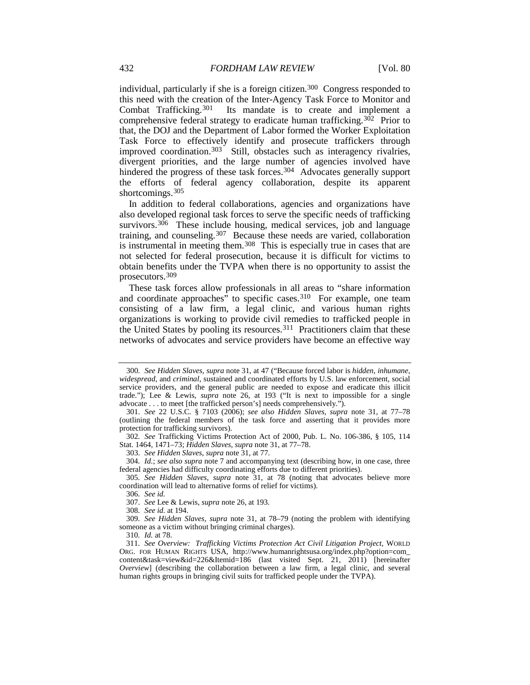individual, particularly if she is a foreign citizen.[300](#page-30-0) Congress responded to this need with the creation of the Inter-Agency Task Force to Monitor and<br>Combat Trafficking.<sup>301</sup> Its mandate is to create and implement a Its mandate is to create and implement a comprehensive federal strategy to eradicate human trafficking.<sup>[302](#page-30-2)</sup> Prior to that, the DOJ and the Department of Labor formed the Worker Exploitation Task Force to effectively identify and prosecute traffickers through improved coordination.<sup>303</sup> Still, obstacles such as interagency rivalries, divergent priorities, and the large number of agencies involved have hindered the progress of these task forces.<sup>[304](#page-30-4)</sup> Advocates generally support the efforts of federal agency collaboration, despite its apparent shortcomings.<sup>[305](#page-30-5)</sup>

<span id="page-30-14"></span><span id="page-30-13"></span>In addition to federal collaborations, agencies and organizations have also developed regional task forces to serve the specific needs of trafficking survivors.<sup>[306](#page-30-6)</sup> These include housing, medical services, job and language training, and counseling.<sup>307</sup> Because these needs are varied, collaboration is instrumental in meeting them.<sup>308</sup> This is especially true in cases that are not selected for federal prosecution, because it is difficult for victims to obtain benefits under the TVPA when there is no opportunity to assist the prosecutors.[309](#page-30-9)

<span id="page-30-12"></span>These task forces allow professionals in all areas to "share information and coordinate approaches" to specific cases.<sup>[310](#page-30-10)</sup> For example, one team consisting of a law firm, a legal clinic, and various human rights organizations is working to provide civil remedies to trafficked people in the United States by pooling its resources.<sup>[311](#page-30-11)</sup> Practitioners claim that these networks of advocates and service providers have become an effective way

303. *See Hidden Slaves*, *supra* note [31,](#page-6-1) at 77.

306*. See id.*

307. *See* Lee & Lewis, *supra* not[e 26,](#page-5-9) at 193.

308*. See id.* at 194.

<span id="page-30-9"></span><span id="page-30-8"></span><span id="page-30-7"></span>309*. See Hidden Slaves*, *supra* note [31,](#page-6-1) at 78–79 (noting the problem with identifying someone as a victim without bringing criminal charges).

310*. Id.* at 78.

<span id="page-30-0"></span><sup>300</sup>*. See Hidden Slaves*, *supra* note [31,](#page-6-1) at 47 ("Because forced labor is *hidden*, *inhumane*, *widespread*, and *criminal*, sustained and coordinated efforts by U.S. law enforcement, social service providers, and the general public are needed to expose and eradicate this illicit trade."); Lee & Lewis, *supra* note [26,](#page-5-9) at 193 ("It is next to impossible for a single advocate . . . to meet [the trafficked person's] needs comprehensively.").

<span id="page-30-1"></span><sup>301.</sup> *See* 22 U.S.C. § 7103 (2006); *see also Hidden Slaves*, *supra* note [31,](#page-6-1) at 77–78 (outlining the federal members of the task force and asserting that it provides more protection for trafficking survivors).

<span id="page-30-2"></span><sup>302</sup>*. See* Trafficking Victims Protection Act of 2000, Pub. L. No. 106-386, § 105, 114 Stat. 1464, 1471–73; *Hidden Slaves*, *supra* note [31,](#page-6-1) at 77–78.

<span id="page-30-4"></span><span id="page-30-3"></span><sup>304</sup>*. Id.*; *see also supra* note [7](#page-3-14) and accompanying text (describing how, in one case, three federal agencies had difficulty coordinating efforts due to different priorities).

<span id="page-30-6"></span><span id="page-30-5"></span><sup>305</sup>*. See Hidden Slaves*, *supra* note [31,](#page-6-1) at 78 (noting that advocates believe more coordination will lead to alternative forms of relief for victims).

<span id="page-30-11"></span><span id="page-30-10"></span><sup>311</sup>*. See Overview: Trafficking Victims Protection Act Civil Litigation Project*, WORLD ORG. FOR HUMAN RIGHTS USA, http://www.humanrightsusa.org/index.php?option=com\_ content&task=view&id=226&Itemid=186 (last visited Sept. 21, 2011) [hereinafter *Overview*] (describing the collaboration between a law firm, a legal clinic, and several human rights groups in bringing civil suits for trafficked people under the TVPA).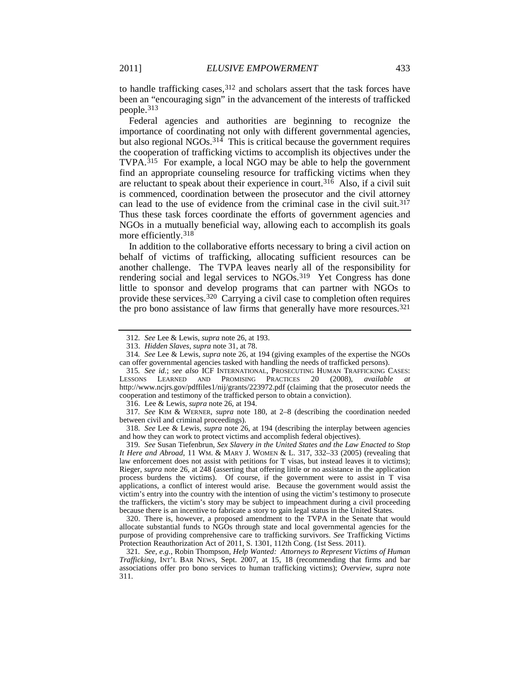to handle trafficking cases,  $312$  and scholars assert that the task forces have been an "encouraging sign" in the advancement of the interests of trafficked people.[313](#page-31-2)

<span id="page-31-11"></span>Federal agencies and authorities are beginning to recognize the importance of coordinating not only with different governmental agencies, but also regional NGOs. [314](#page-31-3) This is critical because the government requires the cooperation of trafficking victims to accomplish its objectives under the TVPA.[315](#page-31-4) For example, a local NGO may be able to help the government find an appropriate counseling resource for trafficking victims when they are reluctant to speak about their experience in court.[316](#page-31-5) Also, if a civil suit is commenced, coordination between the prosecutor and the civil attorney can lead to the use of evidence from the criminal case in the civil suit.<sup>[317](#page-31-6)</sup> Thus these task forces coordinate the efforts of government agencies and NGOs in a mutually beneficial way, allowing each to accomplish its goals more efficiently.[318](#page-31-7)

<span id="page-31-0"></span>In addition to the collaborative efforts necessary to bring a civil action on behalf of victims of trafficking, allocating sufficient resources can be another challenge. The TVPA leaves nearly all of the responsibility for rendering social and legal services to NGOs.<sup>[319](#page-31-8)</sup> Yet Congress has done little to sponsor and develop programs that can partner with NGOs to provide these services[.320](#page-31-9) Carrying a civil case to completion often requires the pro bono assistance of law firms that generally have more resources.<sup>[321](#page-31-10)</sup>

<span id="page-31-8"></span>319*. See* Susan Tiefenbrun, *Sex Slavery in the United States and the Law Enacted to Stop It Here and Abroad*, 11 WM. & MARY J. WOMEN & L. 317, 332–33 (2005) (revealing that law enforcement does not assist with petitions for T visas, but instead leaves it to victims); Rieger, *supra* note [26,](#page-5-9) at 248 (asserting that offering little or no assistance in the application process burdens the victims). Of course, if the government were to assist in T visa applications, a conflict of interest would arise. Because the government would assist the victim's entry into the country with the intention of using the victim's testimony to prosecute the traffickers, the victim's story may be subject to impeachment during a civil proceeding because there is an incentive to fabricate a story to gain legal status in the United States.

<span id="page-31-9"></span>320. There is, however, a proposed amendment to the TVPA in the Senate that would allocate substantial funds to NGOs through state and local governmental agencies for the purpose of providing comprehensive care to trafficking survivors. *See* Trafficking Victims Protection Reauthorization Act of 2011, S. 1301, 112th Cong. (1st Sess. 2011).

<span id="page-31-10"></span>321*. See, e.g.*, Robin Thompson, *Help Wanted: Attorneys to Represent Victims of Human Trafficking*, INT'L BAR NEWS, Sept. 2007, at 15, 18 (recommending that firms and bar associations offer pro bono services to human trafficking victims); *Overview*, *supra* note [311.](#page-30-12)

<span id="page-31-12"></span><sup>312</sup>*. See* Lee & Lewis, *supra* note [26,](#page-5-9) at 193.

<sup>313.</sup> *Hidden Slaves*, *supra* note [31,](#page-6-1) at 78.

<span id="page-31-3"></span><span id="page-31-2"></span><span id="page-31-1"></span><sup>314</sup>*. See* Lee & Lewis, *supra* note [26,](#page-5-9) at 194 (giving examples of the expertise the NGOs can offer governmental agencies tasked with handling the needs of trafficked persons).

<span id="page-31-4"></span><sup>315</sup>*. See id.*; *see also* ICF INTERNATIONAL, PROSECUTING HUMAN TRAFFICKING CASES: LESSONS LEARNED AND PROMISING PRACTICES 20 (2008), *available at* http://www.ncjrs.gov/pdffiles1/nij/grants/223972.pdf (claiming that the prosecutor needs the cooperation and testimony of the trafficked person to obtain a conviction).

<sup>316.</sup> Lee & Lewis, *supra* note [26,](#page-5-9) at 194.

<span id="page-31-6"></span><span id="page-31-5"></span><sup>317</sup>*. See* KIM & WERNER, *supra* note [180,](#page-19-14) at 2–8 (describing the coordination needed between civil and criminal proceedings).

<span id="page-31-7"></span><sup>318</sup>*. See* Lee & Lewis, *supra* note [26,](#page-5-9) at 194 (describing the interplay between agencies and how they can work to protect victims and accomplish federal objectives).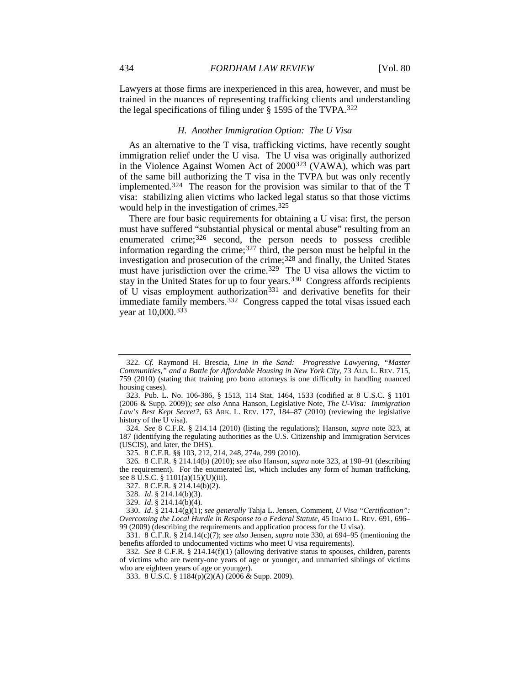Lawyers at those firms are inexperienced in this area, however, and must be trained in the nuances of representing trafficking clients and understanding the legal specifications of filing under § 1595 of the TVPA.[322](#page-32-2)

### <span id="page-32-0"></span>*H. Another Immigration Option: The U Visa*

As an alternative to the T visa, trafficking victims, have recently sought immigration relief under the U visa. The U visa was originally authorized in the Violence Against Women Act of 2000[323](#page-32-3) (VAWA), which was part of the same bill authorizing the T visa in the TVPA but was only recently implemented.<sup>324</sup> The reason for the provision was similar to that of the  $\overline{T}$ visa: stabilizing alien victims who lacked legal status so that those victims would help in the investigation of crimes.<sup>[325](#page-32-5)</sup>

<span id="page-32-15"></span><span id="page-32-14"></span><span id="page-32-1"></span>There are four basic requirements for obtaining a U visa: first, the person must have suffered "substantial physical or mental abuse" resulting from an enumerated crime;<sup>[326](#page-32-6)</sup> second, the person needs to possess credible information regarding the crime; $327$  third, the person must be helpful in the investigation and prosecution of the crime;<sup>[328](#page-32-8)</sup> and finally, the United States must have jurisdiction over the crime.<sup>329</sup> The U visa allows the victim to stay in the United States for up to four years.[330](#page-32-10) Congress affords recipients of U visas employment authorization<sup>[331](#page-32-11)</sup> and derivative benefits for their immediate family members.<sup>[332](#page-32-12)</sup> Congress capped the total visas issued each year at 10,000.[333](#page-32-13)

327. 8 C.F.R. § 214.14(b)(2).

328. *Id*. § 214.14(b)(3).

329. *Id*. § 214.14(b)(4).

<span id="page-32-2"></span><sup>322</sup>*. Cf.* Raymond H. Brescia, *Line in the Sand: Progressive Lawyering, "Master Communities," and a Battle for Affordable Housing in New York City*, 73 ALB. L. REV. 715, 759 (2010) (stating that training pro bono attorneys is one difficulty in handling nuanced housing cases).

<span id="page-32-3"></span><sup>323.</sup> Pub. L. No. 106-386, § 1513, 114 Stat. 1464, 1533 (codified at 8 U.S.C. § 1101 (2006 & Supp. 2009)); *see also* Anna Hanson, Legislative Note, *The U-Visa: Immigration Law's Best Kept Secret?*, 63 ARK. L. REV. 177, 184–87 (2010) (reviewing the legislative history of the U visa).

<span id="page-32-4"></span><sup>324</sup>*. See* 8 C.F.R. § 214.14 (2010) (listing the regulations); Hanson, *supra* note [323,](#page-32-0) at 187 (identifying the regulating authorities as the U.S. Citizenship and Immigration Services (USCIS), and later, the DHS).

<sup>325.</sup> 8 C.F.R. §§ 103, 212, 214, 248, 274a, 299 (2010).

<span id="page-32-6"></span><span id="page-32-5"></span><sup>326</sup>*.* 8 C.F.R. § 214.14(b) (2010); *see also* Hanson, *supra* note [323,](#page-32-0) at 190–91 (describing the requirement). For the enumerated list, which includes any form of human trafficking, see 8 U.S.C. § 1101(a)(15)(U)(iii).

<span id="page-32-10"></span><span id="page-32-9"></span><span id="page-32-8"></span><span id="page-32-7"></span><sup>330.</sup> *Id*. § 214.14(g)(1); *see generally* Tahja L. Jensen, Comment, *U Visa "Certification": Overcoming the Local Hurdle in Response to a Federal Statute*, 45 IDAHO L. REV. 691, 696– 99 (2009) (describing the requirements and application process for the U visa).

<span id="page-32-11"></span><sup>331.</sup> 8 C.F.R. § 214.14(c)(7); *see also* Jensen, *supra* not[e 330,](#page-32-1) at 694–95 (mentioning the benefits afforded to undocumented victims who meet U visa requirements).

<span id="page-32-13"></span><span id="page-32-12"></span><sup>332</sup>*. See* 8 C.F.R. § 214.14(f)(1) (allowing derivative status to spouses, children, parents of victims who are twenty-one years of age or younger, and unmarried siblings of victims who are eighteen years of age or younger).

<sup>333.</sup> 8 U.S.C. § 1184(p)(2)(A) (2006 & Supp. 2009).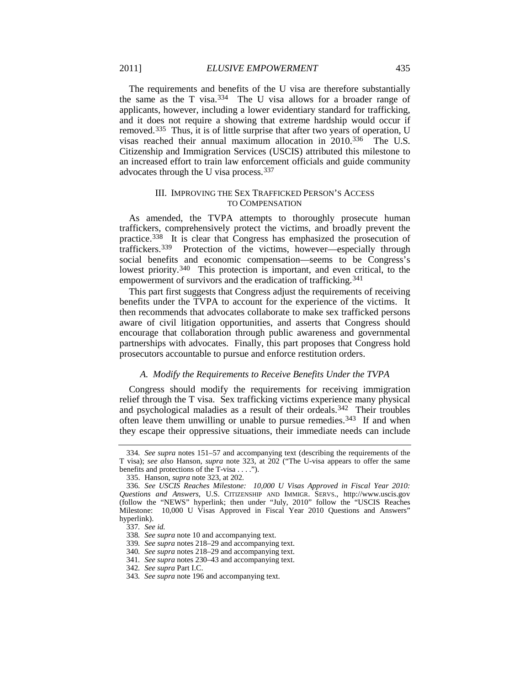<span id="page-33-10"></span>The requirements and benefits of the U visa are therefore substantially the same as the T visa[.334](#page-33-0) The U visa allows for a broader range of applicants, however, including a lower evidentiary standard for trafficking, and it does not require a showing that extreme hardship would occur if removed.[335](#page-33-1) Thus, it is of little surprise that after two years of operation, U visas reached their annual maximum allocation in 2010[.336](#page-33-2) The U.S. Citizenship and Immigration Services (USCIS) attributed this milestone to an increased effort to train law enforcement officials and guide community advocates through the U visa process.[337](#page-33-3)

# III. IMPROVING THE SEX TRAFFICKED PERSON'S ACCESS TO COMPENSATION

As amended, the TVPA attempts to thoroughly prosecute human traffickers, comprehensively protect the victims, and broadly prevent the practice.[338](#page-33-4) It is clear that Congress has emphasized the prosecution of traffickers[.339](#page-33-5) Protection of the victims, however—especially through social benefits and economic compensation—seems to be Congress's lowest priority.<sup>340</sup> This protection is important, and even critical, to the empowerment of survivors and the eradication of trafficking.<sup>[341](#page-33-7)</sup>

This part first suggests that Congress adjust the requirements of receiving benefits under the TVPA to account for the experience of the victims. It then recommends that advocates collaborate to make sex trafficked persons aware of civil litigation opportunities, and asserts that Congress should encourage that collaboration through public awareness and governmental partnerships with advocates. Finally, this part proposes that Congress hold prosecutors accountable to pursue and enforce restitution orders.

#### *A. Modify the Requirements to Receive Benefits Under the TVPA*

Congress should modify the requirements for receiving immigration relief through the T visa. Sex trafficking victims experience many physical and psychological maladies as a result of their ordeals.[342](#page-33-8) Their troubles often leave them unwilling or unable to pursue remedies.<sup>[343](#page-33-9)</sup> If and when they escape their oppressive situations, their immediate needs can include

<span id="page-33-0"></span><sup>334</sup>*. See supra* notes [151–](#page-16-11)57 and accompanying text (describing the requirements of the T visa); *see also* Hanson, *supra* note [323,](#page-32-0) at 202 ("The U-visa appears to offer the same benefits and protections of the T-visa . . . .").

<sup>335.</sup> Hanson, *supra* not[e 323,](#page-32-0) at 202.

<span id="page-33-3"></span><span id="page-33-2"></span><span id="page-33-1"></span><sup>336</sup>*. See USCIS Reaches Milestone: 10,000 U Visas Approved in Fiscal Year 2010: Questions and Answers*, U.S. CITIZENSHIP AND IMMIGR. SERVS., http://www.uscis.gov (follow the "NEWS" hyperlink; then under "July, 2010" follow the "USCIS Reaches Milestone: 10,000 U Visas Approved in Fiscal Year 2010 Questions and Answers" hyperlink).

<sup>337</sup>*. See id.*

<span id="page-33-4"></span><sup>338</sup>*. See supra* not[e 10](#page-3-15) and accompanying text.

<span id="page-33-5"></span><sup>339</sup>*. See supra* note[s 218–](#page-22-0)29 and accompanying text.

<span id="page-33-6"></span><sup>340</sup>*. See supra* note[s 218–](#page-22-0)29 and accompanying text.

<sup>341</sup>*. See supra* note[s 230–](#page-23-12)43 and accompanying text.

<sup>342</sup>*. See supra* Part I.C.

<span id="page-33-9"></span><span id="page-33-8"></span><span id="page-33-7"></span><sup>343</sup>*. See supra* not[e 196](#page-20-10) and accompanying text.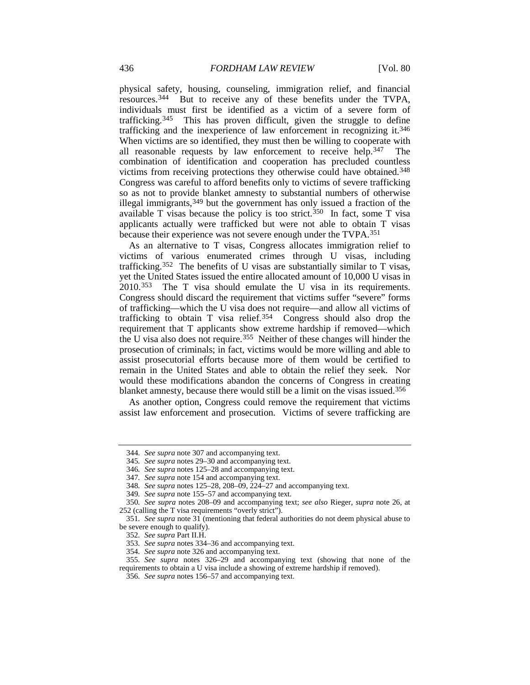physical safety, housing, counseling, immigration relief, and financial resources.[344](#page-34-0) But to receive any of these benefits under the TVPA, individuals must first be identified as a victim of a severe form of trafficking.<sup>345</sup> This has proven difficult, given the struggle to define This has proven difficult, given the struggle to define trafficking and the inexperience of law enforcement in recognizing it.[346](#page-34-2) When victims are so identified, they must then be willing to cooperate with all reasonable requests by law enforcement to receive help.[347](#page-34-3) The combination of identification and cooperation has precluded countless victims from receiving protections they otherwise could have obtained.[348](#page-34-4) Congress was careful to afford benefits only to victims of severe trafficking so as not to provide blanket amnesty to substantial numbers of otherwise illegal immigrants[,349](#page-34-5) but the government has only issued a fraction of the available T visas because the policy is too strict.<sup>350</sup> In fact, some T visa applicants actually were trafficked but were not able to obtain T visas because their experience was not severe enough under the TVPA[.351](#page-34-7)

As an alternative to T visas, Congress allocates immigration relief to victims of various enumerated crimes through U visas, including trafficking.[352](#page-34-8) The benefits of U visas are substantially similar to T visas, yet the United States issued the entire allocated amount of 10,000 U visas in 2010.[353](#page-34-9) The T visa should emulate the U visa in its requirements. Congress should discard the requirement that victims suffer "severe" forms of trafficking—which the U visa does not require—and allow all victims of trafficking to obtain T visa relief.[354](#page-34-10) Congress should also drop the requirement that T applicants show extreme hardship if removed—which the U visa also does not require.[355](#page-34-11) Neither of these changes will hinder the prosecution of criminals; in fact, victims would be more willing and able to assist prosecutorial efforts because more of them would be certified to remain in the United States and able to obtain the relief they seek. Nor would these modifications abandon the concerns of Congress in creating blanket amnesty, because there would still be a limit on the visas issued.<sup>[356](#page-34-12)</sup>

As another option, Congress could remove the requirement that victims assist law enforcement and prosecution. Victims of severe trafficking are

<span id="page-34-0"></span><sup>344</sup>*. See supra* not[e 307](#page-30-13) and accompanying text.

<sup>345</sup>*. See supra* notes [29–](#page-6-12)30 and accompanying text.

<sup>346</sup>*. See supra* note[s 125–](#page-14-0)28 and accompanying text.

<sup>347</sup>*. See supra* not[e 154](#page-17-14) and accompanying text.

<sup>348</sup>*. See supra* note[s 125–](#page-14-0)28[, 208–](#page-21-14)09[, 224–](#page-23-13)27 and accompanying text.

<sup>349</sup>*. See supra* not[e 155–](#page-17-15)57 and accompanying text.

<span id="page-34-6"></span><span id="page-34-5"></span><span id="page-34-4"></span><span id="page-34-3"></span><span id="page-34-2"></span><span id="page-34-1"></span><sup>350</sup>*. See supra* notes [208–](#page-21-15)09 and accompanying text; *see also* Rieger, *supra* note [26,](#page-5-9) at 252 (calling the T visa requirements "overly strict").

<span id="page-34-8"></span><span id="page-34-7"></span><sup>351</sup>*. See supra* note [31](#page-6-1) (mentioning that federal authorities do not deem physical abuse to be severe enough to qualify).

<sup>352</sup>*. See supra* Part II.H.

<sup>353</sup>*. See supra* note[s 334–](#page-33-10)36 and accompanying text.

<sup>354</sup>*. See supra* not[e 326](#page-32-14) and accompanying text.

<span id="page-34-12"></span><span id="page-34-11"></span><span id="page-34-10"></span><span id="page-34-9"></span><sup>355</sup>*. See supra* notes [326–](#page-32-15)29 and accompanying text (showing that none of the requirements to obtain a U visa include a showing of extreme hardship if removed).

<sup>356</sup>*. See supra* note[s 156–](#page-17-16)57 and accompanying text.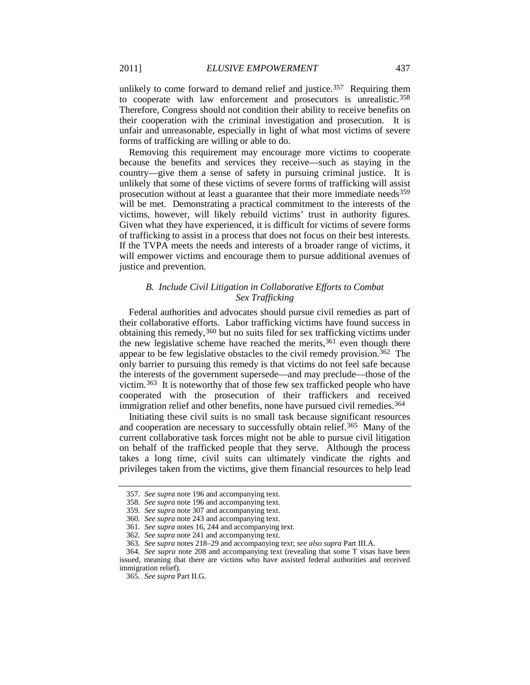unlikely to come forward to demand relief and justice.<sup>[357](#page-35-0)</sup> Requiring them to cooperate with law enforcement and prosecutors is unrealistic.<sup>[358](#page-35-1)</sup> Therefore, Congress should not condition their ability to receive benefits on their cooperation with the criminal investigation and prosecution. It is unfair and unreasonable, especially in light of what most victims of severe forms of trafficking are willing or able to do.

Removing this requirement may encourage more victims to cooperate because the benefits and services they receive—such as staying in the country—give them a sense of safety in pursuing criminal justice. It is unlikely that some of these victims of severe forms of trafficking will assist prosecution without at least a guarantee that their more immediate needs [359](#page-35-2) will be met. Demonstrating a practical commitment to the interests of the victims, however, will likely rebuild victims' trust in authority figures. Given what they have experienced, it is difficult for victims of severe forms of trafficking to assist in a process that does not focus on their best interests. If the TVPA meets the needs and interests of a broader range of victims, it will empower victims and encourage them to pursue additional avenues of justice and prevention.

# *B. Include Civil Litigation in Collaborative Efforts to Combat Sex Trafficking*

Federal authorities and advocates should pursue civil remedies as part of their collaborative efforts. Labor trafficking victims have found success in obtaining this remedy,[360](#page-35-3) but no suits filed for sex trafficking victims under the new legislative scheme have reached the merits,  $361$  even though there appear to be few legislative obstacles to the civil remedy provision.<sup>362</sup> The only barrier to pursuing this remedy is that victims do not feel safe because the interests of the government supersede—and may preclude—those of the victim.[363](#page-35-6) It is noteworthy that of those few sex trafficked people who have cooperated with the prosecution of their traffickers and received immigration relief and other benefits, none have pursued civil remedies.<sup>[364](#page-35-7)</sup>

Initiating these civil suits is no small task because significant resources and cooperation are necessary to successfully obtain relief.<sup>[365](#page-35-8)</sup> Many of the current collaborative task forces might not be able to pursue civil litigation on behalf of the trafficked people that they serve. Although the process takes a long time, civil suits can ultimately vindicate the rights and privileges taken from the victims, give them financial resources to help lead

<sup>357</sup>*. See supra* note [196](#page-20-10) and accompanying text.

<span id="page-35-1"></span><span id="page-35-0"></span><sup>358</sup>*. See supra* not[e 196](#page-20-10) and accompanying text.

<sup>359</sup>*. See supra* not[e 307](#page-30-13) and accompanying text.

<sup>360</sup>*. See supra* not[e 243](#page-25-12) and accompanying text.

<sup>361</sup>*. See supra* note[s 16,](#page-3-13) [244](#page-25-13) and accompanying text.

<sup>362</sup>*. See supra* not[e 241](#page-25-14) and accompanying text.

<sup>363</sup>*. See supra* note[s 218–](#page-22-0)29 and accompanying text; *see also supra* Part III.A.

<span id="page-35-8"></span><span id="page-35-7"></span><span id="page-35-6"></span><span id="page-35-5"></span><span id="page-35-4"></span><span id="page-35-3"></span><span id="page-35-2"></span><sup>364</sup>*. See supra* note [208](#page-21-15) and accompanying text (revealing that some T visas have been issued, meaning that there are victims who have assisted federal authorities and received immigration relief).

<sup>365</sup>*. See supra* Part II.G.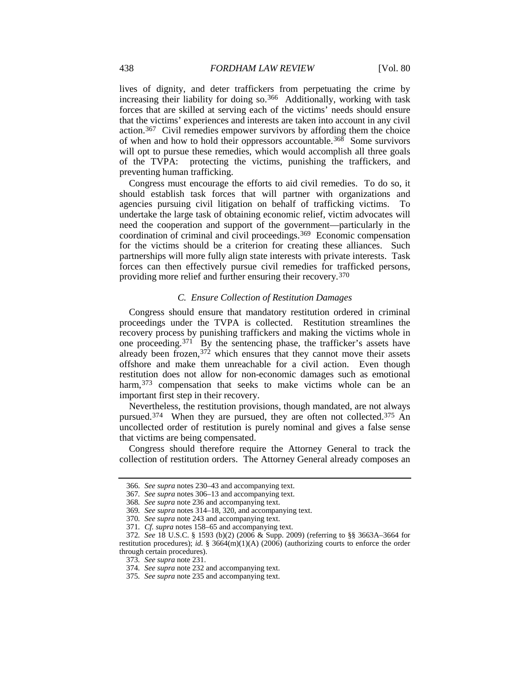lives of dignity, and deter traffickers from perpetuating the crime by increasing their liability for doing so.[366](#page-36-0) Additionally, working with task forces that are skilled at serving each of the victims' needs should ensure that the victims' experiences and interests are taken into account in any civil action.[367](#page-36-1) Civil remedies empower survivors by affording them the choice of when and how to hold their oppressors accountable.<sup>[368](#page-36-2)</sup> Some survivors will opt to pursue these remedies, which would accomplish all three goals of the TVPA: protecting the victims, punishing the traffickers, and preventing human trafficking.

Congress must encourage the efforts to aid civil remedies. To do so, it should establish task forces that will partner with organizations and agencies pursuing civil litigation on behalf of trafficking victims. To undertake the large task of obtaining economic relief, victim advocates will need the cooperation and support of the government—particularly in the coordination of criminal and civil proceedings. [369](#page-36-3) Economic compensation for the victims should be a criterion for creating these alliances. Such partnerships will more fully align state interests with private interests. Task forces can then effectively pursue civil remedies for trafficked persons, providing more relief and further ensuring their recovery.[370](#page-36-4)

#### *C. Ensure Collection of Restitution Damages*

Congress should ensure that mandatory restitution ordered in criminal proceedings under the TVPA is collected. Restitution streamlines the recovery process by punishing traffickers and making the victims whole in one proceeding.[371](#page-36-5) By the sentencing phase, the trafficker's assets have already been frozen,  $372$  which ensures that they cannot move their assets offshore and make them unreachable for a civil action. Even though restitution does not allow for non-economic damages such as emotional harm,<sup>[373](#page-36-7)</sup> compensation that seeks to make victims whole can be an important first step in their recovery.

Nevertheless, the restitution provisions, though mandated, are not always pursued.<sup>[374](#page-36-8)</sup> When they are pursued, they are often not collected.<sup>[375](#page-36-9)</sup> An uncollected order of restitution is purely nominal and gives a false sense that victims are being compensated.

<span id="page-36-0"></span>Congress should therefore require the Attorney General to track the collection of restitution orders. The Attorney General already composes an

<sup>366</sup>*. See supra* note[s 230–](#page-23-12)43 and accompanying text.

<sup>367</sup>*. See supra* note[s 306–](#page-30-14)13 and accompanying text.

<span id="page-36-1"></span><sup>368</sup>*. See supra* not[e 236](#page-24-10) and accompanying text.

<sup>369</sup>*. See supra* note[s 314–](#page-31-11)18[, 320,](#page-31-12) and accompanying text.

<sup>370</sup>*. See supra* not[e 243](#page-25-12) and accompanying text.

<sup>371</sup>*. Cf. supra* notes [158–](#page-17-17)65 and accompanying text.

<span id="page-36-9"></span><span id="page-36-8"></span><span id="page-36-7"></span><span id="page-36-6"></span><span id="page-36-5"></span><span id="page-36-4"></span><span id="page-36-3"></span><span id="page-36-2"></span><sup>372</sup>*. See* 18 U.S.C. § 1593 (b)(2) (2006 & Supp. 2009) (referring to §§ 3663A–3664 for restitution procedures); *id.* § 3664(m)(1)(A) (2006) (authorizing courts to enforce the order through certain procedures).

<sup>373</sup>*. See supra* not[e 231.](#page-23-14)

<sup>374</sup>*. See supra* not[e 232](#page-24-0) and accompanying text.

<sup>375</sup>*. See supra* not[e 235](#page-24-11) and accompanying text.